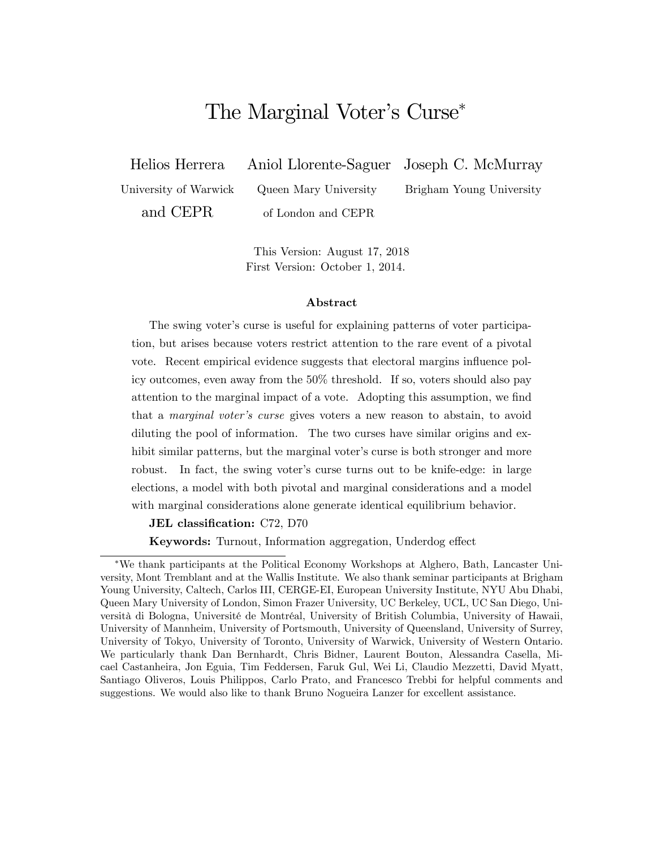# The Marginal Voter's Curse\*

Helios Herrera Aniol Llorente-Saguer Joseph C. McMurray

University of Warwick Queen Mary University Brigham Young University and CEPR of London and CEPR

This Version: August 17, 2018 First Version: October 1, 2014.

#### Abstract

The swing voter's curse is useful for explaining patterns of voter participation, but arises because voters restrict attention to the rare event of a pivotal vote. Recent empirical evidence suggests that electoral margins influence policy outcomes, even away from the 50% threshold. If so, voters should also pay attention to the marginal impact of a vote. Adopting this assumption, we find that a *marginal voter's curse* gives voters a new reason to abstain, to avoid diluting the pool of information. The two curses have similar origins and exhibit similar patterns, but the marginal voter's curse is both stronger and more robust. In fact, the swing voter's curse turns out to be knife-edge: in large elections, a model with both pivotal and marginal considerations and a model with marginal considerations alone generate identical equilibrium behavior.

JEL classification: C72, D70

Keywords: Turnout, Information aggregation, Underdog effect

We thank participants at the Political Economy Workshops at Alghero, Bath, Lancaster University, Mont Tremblant and at the Wallis Institute. We also thank seminar participants at Brigham Young University, Caltech, Carlos III, CERGE-EI, European University Institute, NYU Abu Dhabi, Queen Mary University of London, Simon Frazer University, UC Berkeley, UCL, UC San Diego, Università di Bologna, Université de Montréal, University of British Columbia, University of Hawaii, University of Mannheim, University of Portsmouth, University of Queensland, University of Surrey, University of Tokyo, University of Toronto, University of Warwick, University of Western Ontario. We particularly thank Dan Bernhardt, Chris Bidner, Laurent Bouton, Alessandra Casella, Micael Castanheira, Jon Eguia, Tim Feddersen, Faruk Gul, Wei Li, Claudio Mezzetti, David Myatt, Santiago Oliveros, Louis Philippos, Carlo Prato, and Francesco Trebbi for helpful comments and suggestions. We would also like to thank Bruno Nogueira Lanzer for excellent assistance.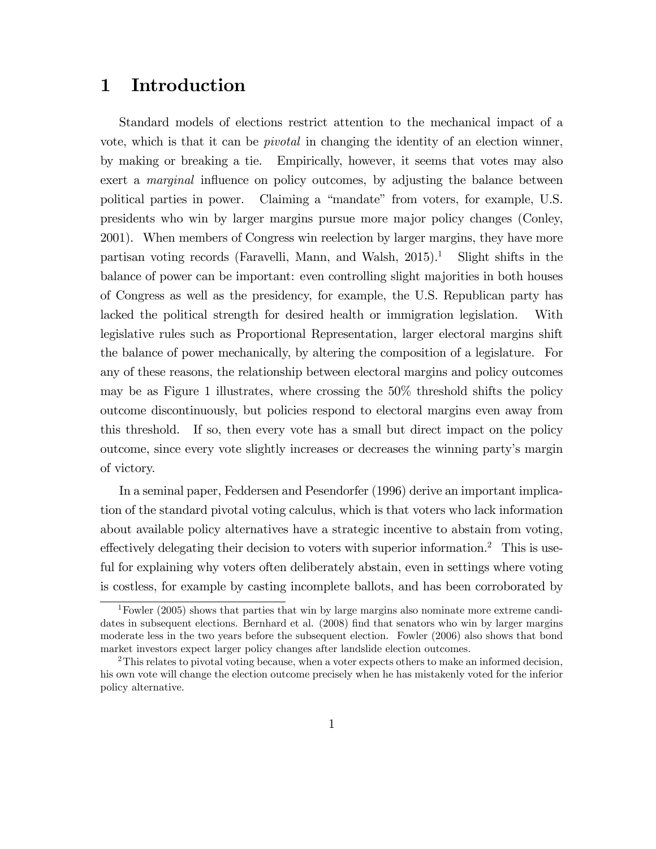### 1 Introduction

Standard models of elections restrict attention to the mechanical impact of a vote, which is that it can be pivotal in changing the identity of an election winner, by making or breaking a tie. Empirically, however, it seems that votes may also exert a *marginal* influence on policy outcomes, by adjusting the balance between political parties in power. Claiming a "mandate" from voters, for example, U.S. presidents who win by larger margins pursue more major policy changes (Conley, 2001). When members of Congress win reelection by larger margins, they have more partisan voting records (Faravelli, Mann, and Walsh,  $2015$ ).<sup>1</sup> Slight shifts in the balance of power can be important: even controlling slight majorities in both houses of Congress as well as the presidency, for example, the U.S. Republican party has lacked the political strength for desired health or immigration legislation. With legislative rules such as Proportional Representation, larger electoral margins shift the balance of power mechanically, by altering the composition of a legislature. For any of these reasons, the relationship between electoral margins and policy outcomes may be as Figure 1 illustrates, where crossing the 50% threshold shifts the policy outcome discontinuously, but policies respond to electoral margins even away from this threshold. If so, then every vote has a small but direct impact on the policy outcome, since every vote slightly increases or decreases the winning partyís margin of victory.

In a seminal paper, Feddersen and Pesendorfer (1996) derive an important implication of the standard pivotal voting calculus, which is that voters who lack information about available policy alternatives have a strategic incentive to abstain from voting, effectively delegating their decision to voters with superior information.<sup>2</sup> This is useful for explaining why voters often deliberately abstain, even in settings where voting is costless, for example by casting incomplete ballots, and has been corroborated by

<sup>&</sup>lt;sup>1</sup>Fowler (2005) shows that parties that win by large margins also nominate more extreme candidates in subsequent elections. Bernhard et al. (2008) find that senators who win by larger margins moderate less in the two years before the subsequent election. Fowler (2006) also shows that bond market investors expect larger policy changes after landslide election outcomes.

 $2$ This relates to pivotal voting because, when a voter expects others to make an informed decision, his own vote will change the election outcome precisely when he has mistakenly voted for the inferior policy alternative.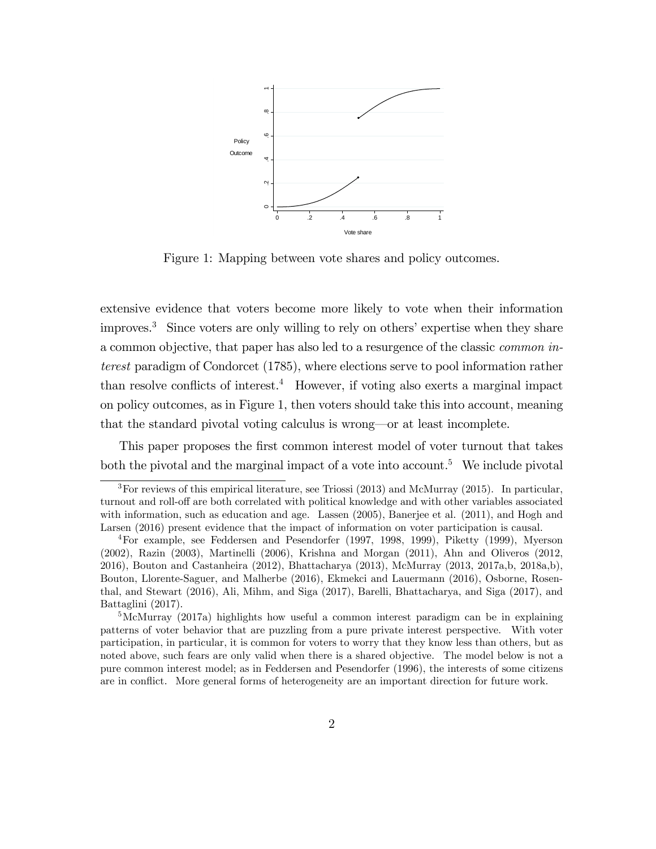

Figure 1: Mapping between vote shares and policy outcomes.

extensive evidence that voters become more likely to vote when their information improves.<sup>3</sup> Since voters are only willing to rely on others' expertise when they share a common objective, that paper has also led to a resurgence of the classic common interest paradigm of Condorcet (1785), where elections serve to pool information rather than resolve conflicts of interest.<sup>4</sup> However, if voting also exerts a marginal impact on policy outcomes, as in Figure 1, then voters should take this into account, meaning that the standard pivotal voting calculus is wrong—or at least incomplete.

This paper proposes the first common interest model of voter turnout that takes both the pivotal and the marginal impact of a vote into account.<sup>5</sup> We include pivotal

<sup>&</sup>lt;sup>3</sup>For reviews of this empirical literature, see Triossi  $(2013)$  and McMurray (2015). In particular, turnout and roll-off are both correlated with political knowledge and with other variables associated with information, such as education and age. Lassen (2005), Banerjee et al. (2011), and Hogh and Larsen (2016) present evidence that the impact of information on voter participation is causal.

<sup>4</sup>For example, see Feddersen and Pesendorfer (1997, 1998, 1999), Piketty (1999), Myerson (2002), Razin (2003), Martinelli (2006), Krishna and Morgan (2011), Ahn and Oliveros (2012, 2016), Bouton and Castanheira (2012), Bhattacharya (2013), McMurray (2013, 2017a,b, 2018a,b), Bouton, Llorente-Saguer, and Malherbe (2016), Ekmekci and Lauermann (2016), Osborne, Rosenthal, and Stewart (2016), Ali, Mihm, and Siga (2017), Barelli, Bhattacharya, and Siga (2017), and Battaglini (2017).

 ${}^{5}$ McMurray (2017a) highlights how useful a common interest paradigm can be in explaining patterns of voter behavior that are puzzling from a pure private interest perspective. With voter participation, in particular, it is common for voters to worry that they know less than others, but as noted above, such fears are only valid when there is a shared objective. The model below is not a pure common interest model; as in Feddersen and Pesendorfer (1996), the interests of some citizens are in conflict. More general forms of heterogeneity are an important direction for future work.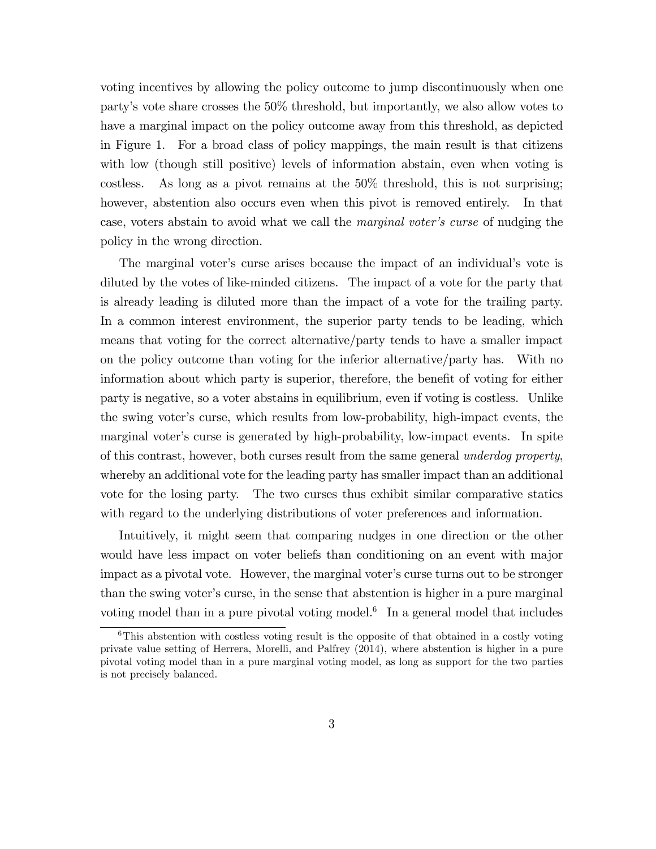voting incentives by allowing the policy outcome to jump discontinuously when one partyís vote share crosses the 50% threshold, but importantly, we also allow votes to have a marginal impact on the policy outcome away from this threshold, as depicted in Figure 1. For a broad class of policy mappings, the main result is that citizens with low (though still positive) levels of information abstain, even when voting is costless. As long as a pivot remains at the 50% threshold, this is not surprising; however, abstention also occurs even when this pivot is removed entirely. In that case, voters abstain to avoid what we call the *marginal voter's curse* of nudging the policy in the wrong direction.

The marginal voter's curse arises because the impact of an individual's vote is diluted by the votes of like-minded citizens. The impact of a vote for the party that is already leading is diluted more than the impact of a vote for the trailing party. In a common interest environment, the superior party tends to be leading, which means that voting for the correct alternative/party tends to have a smaller impact on the policy outcome than voting for the inferior alternative/party has. With no information about which party is superior, therefore, the benefit of voting for either party is negative, so a voter abstains in equilibrium, even if voting is costless. Unlike the swing voter's curse, which results from low-probability, high-impact events, the marginal voter's curse is generated by high-probability, low-impact events. In spite of this contrast, however, both curses result from the same general underdog property, whereby an additional vote for the leading party has smaller impact than an additional vote for the losing party. The two curses thus exhibit similar comparative statics with regard to the underlying distributions of voter preferences and information.

Intuitively, it might seem that comparing nudges in one direction or the other would have less impact on voter beliefs than conditioning on an event with major impact as a pivotal vote. However, the marginal voter's curse turns out to be stronger than the swing voter's curse, in the sense that abstention is higher in a pure marginal voting model than in a pure pivotal voting model.<sup>6</sup> In a general model that includes

 $6$ This abstention with costless voting result is the opposite of that obtained in a costly voting private value setting of Herrera, Morelli, and Palfrey (2014), where abstention is higher in a pure pivotal voting model than in a pure marginal voting model, as long as support for the two parties is not precisely balanced.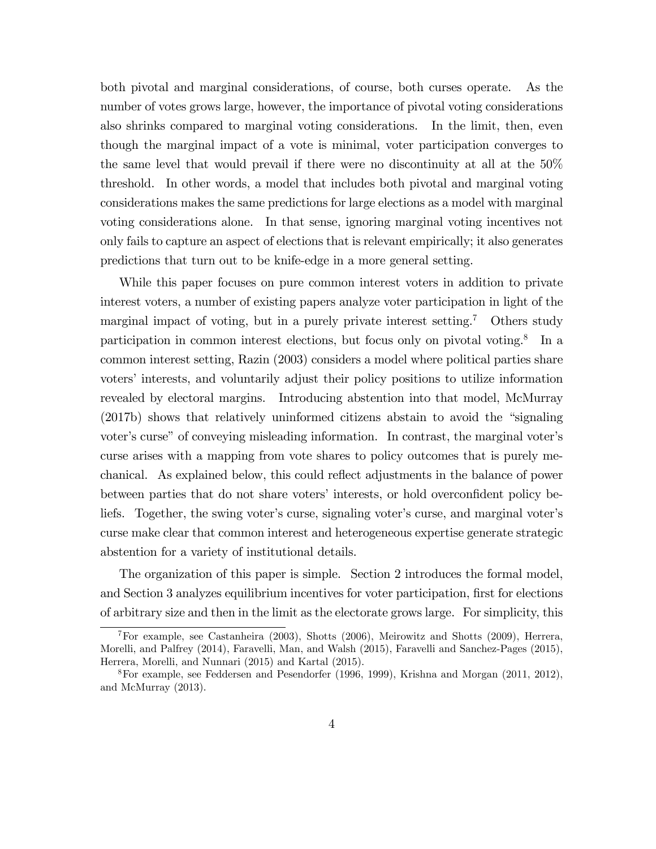both pivotal and marginal considerations, of course, both curses operate. As the number of votes grows large, however, the importance of pivotal voting considerations also shrinks compared to marginal voting considerations. In the limit, then, even though the marginal impact of a vote is minimal, voter participation converges to the same level that would prevail if there were no discontinuity at all at the 50% threshold. In other words, a model that includes both pivotal and marginal voting considerations makes the same predictions for large elections as a model with marginal voting considerations alone. In that sense, ignoring marginal voting incentives not only fails to capture an aspect of elections that is relevant empirically; it also generates predictions that turn out to be knife-edge in a more general setting.

While this paper focuses on pure common interest voters in addition to private interest voters, a number of existing papers analyze voter participation in light of the marginal impact of voting, but in a purely private interest setting.<sup>7</sup> Others study participation in common interest elections, but focus only on pivotal voting.<sup>8</sup> In a common interest setting, Razin (2003) considers a model where political parties share voters' interests, and voluntarily adjust their policy positions to utilize information revealed by electoral margins. Introducing abstention into that model, McMurray  $(2017b)$  shows that relatively uninformed citizens abstain to avoid the "signaling" voter's curse" of conveying misleading information. In contrast, the marginal voter's curse arises with a mapping from vote shares to policy outcomes that is purely mechanical. As explained below, this could reflect adjustments in the balance of power between parties that do not share voters' interests, or hold overconfident policy beliefs. Together, the swing voter's curse, signaling voter's curse, and marginal voter's curse make clear that common interest and heterogeneous expertise generate strategic abstention for a variety of institutional details.

The organization of this paper is simple. Section 2 introduces the formal model, and Section 3 analyzes equilibrium incentives for voter participation, first for elections of arbitrary size and then in the limit as the electorate grows large. For simplicity, this

<sup>7</sup>For example, see Castanheira (2003), Shotts (2006), Meirowitz and Shotts (2009), Herrera, Morelli, and Palfrey (2014), Faravelli, Man, and Walsh (2015), Faravelli and Sanchez-Pages (2015), Herrera, Morelli, and Nunnari (2015) and Kartal (2015).

 $8$ For example, see Feddersen and Pesendorfer (1996, 1999), Krishna and Morgan (2011, 2012), and McMurray (2013).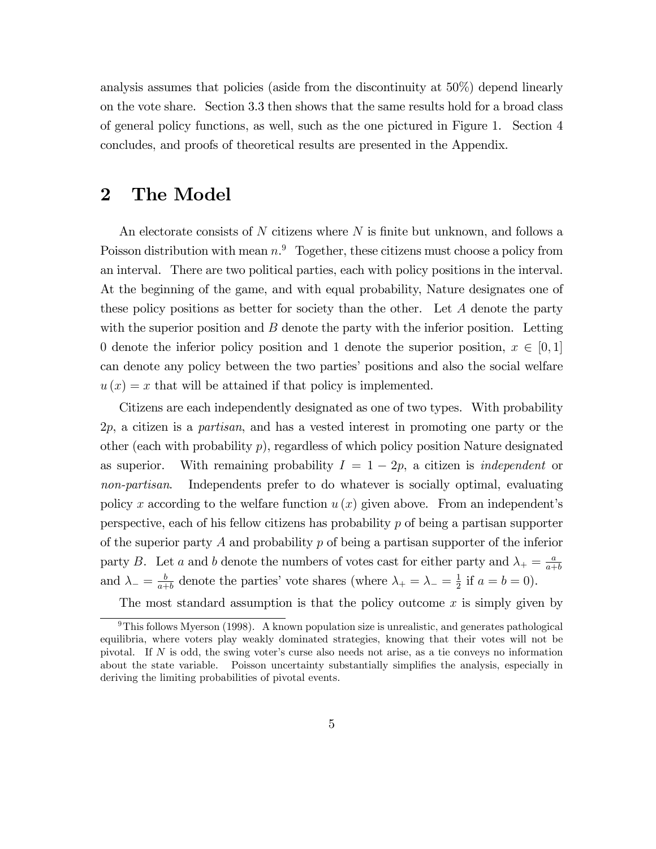analysis assumes that policies (aside from the discontinuity at 50%) depend linearly on the vote share. Section 3.3 then shows that the same results hold for a broad class of general policy functions, as well, such as the one pictured in Figure 1. Section 4 concludes, and proofs of theoretical results are presented in the Appendix.

### 2 The Model

An electorate consists of  $N$  citizens where  $N$  is finite but unknown, and follows a Poisson distribution with mean  $n<sup>9</sup>$  Together, these citizens must choose a policy from an interval. There are two political parties, each with policy positions in the interval. At the beginning of the game, and with equal probability, Nature designates one of these policy positions as better for society than the other. Let A denote the party with the superior position and  $B$  denote the party with the inferior position. Letting 0 denote the inferior policy position and 1 denote the superior position,  $x \in [0,1]$ can denote any policy between the two parties' positions and also the social welfare  $u(x) = x$  that will be attained if that policy is implemented.

Citizens are each independently designated as one of two types. With probability 2p, a citizen is a partisan, and has a vested interest in promoting one party or the other (each with probability  $p$ ), regardless of which policy position Nature designated as superior. With remaining probability  $I = 1 - 2p$ , a citizen is *independent* or non-partisan. Independents prefer to do whatever is socially optimal, evaluating policy x according to the welfare function  $u(x)$  given above. From an independent's perspective, each of his fellow citizens has probability  $p$  of being a partisan supporter of the superior party A and probability  $p$  of being a partisan supporter of the inferior party B. Let a and b denote the numbers of votes cast for either party and  $\lambda_{+} = \frac{a}{a+}$  $_{a+b}$ and  $\lambda_{-} = \frac{b}{a_{+}}$  $\frac{b}{a+b}$  denote the parties' vote shares (where  $\lambda_+ = \lambda_- = \frac{1}{2}$  $\frac{1}{2}$  if  $a = b = 0$ ).

The most standard assumption is that the policy outcome  $x$  is simply given by

 $9$ This follows Myerson (1998). A known population size is unrealistic, and generates pathological equilibria, where voters play weakly dominated strategies, knowing that their votes will not be pivotal. If  $N$  is odd, the swing voter's curse also needs not arise, as a tie conveys no information about the state variable. Poisson uncertainty substantially simplifies the analysis, especially in deriving the limiting probabilities of pivotal events.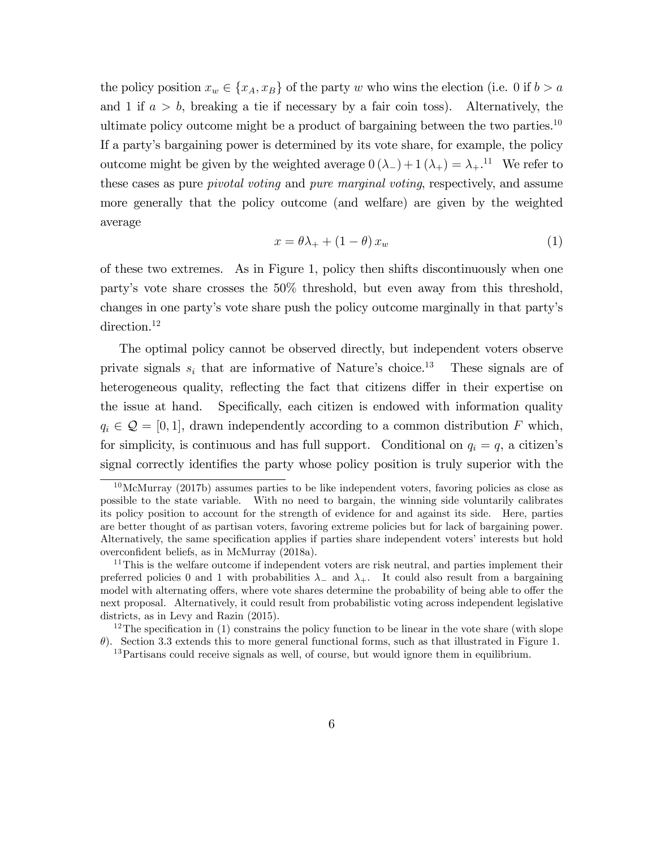the policy position  $x_w \in \{x_A, x_B\}$  of the party w who wins the election (i.e. 0 if  $b > a$ and 1 if  $a > b$ , breaking a tie if necessary by a fair coin toss). Alternatively, the ultimate policy outcome might be a product of bargaining between the two parties.<sup>10</sup> If a partyís bargaining power is determined by its vote share, for example, the policy outcome might be given by the weighted average  $0(\lambda_{-}) + 1(\lambda_{+}) = \lambda_{+}$ .<sup>11</sup> We refer to these cases as pure *pivotal voting* and *pure marginal voting*, respectively, and assume more generally that the policy outcome (and welfare) are given by the weighted average

$$
x = \theta \lambda_+ + (1 - \theta) x_w \tag{1}
$$

of these two extremes. As in Figure 1, policy then shifts discontinuously when one partyís vote share crosses the 50% threshold, but even away from this threshold, changes in one partyís vote share push the policy outcome marginally in that partyís direction.<sup>12</sup>

The optimal policy cannot be observed directly, but independent voters observe private signals  $s_i$  that are informative of Nature's choice.<sup>13</sup> These signals are of heterogeneous quality, reflecting the fact that citizens differ in their expertise on the issue at hand. Specifically, each citizen is endowed with information quality  $q_i \in \mathcal{Q} = [0, 1]$ , drawn independently according to a common distribution F which, for simplicity, is continuous and has full support. Conditional on  $q_i = q$ , a citizen's signal correctly identifies the party whose policy position is truly superior with the

 $10$ McMurray (2017b) assumes parties to be like independent voters, favoring policies as close as possible to the state variable. With no need to bargain, the winning side voluntarily calibrates its policy position to account for the strength of evidence for and against its side. Here, parties are better thought of as partisan voters, favoring extreme policies but for lack of bargaining power. Alternatively, the same specification applies if parties share independent voters' interests but hold overconfident beliefs, as in McMurray (2018a).

 $11$ This is the welfare outcome if independent voters are risk neutral, and parties implement their preferred policies 0 and 1 with probabilities  $\lambda$  and  $\lambda$ . It could also result from a bargaining model with alternating offers, where vote shares determine the probability of being able to offer the next proposal. Alternatively, it could result from probabilistic voting across independent legislative districts, as in Levy and Razin (2015).

<sup>&</sup>lt;sup>12</sup>The specification in (1) constrains the policy function to be linear in the vote share (with slope  $\theta$ ). Section 3.3 extends this to more general functional forms, such as that illustrated in Figure 1.

<sup>&</sup>lt;sup>13</sup>Partisans could receive signals as well, of course, but would ignore them in equilibrium.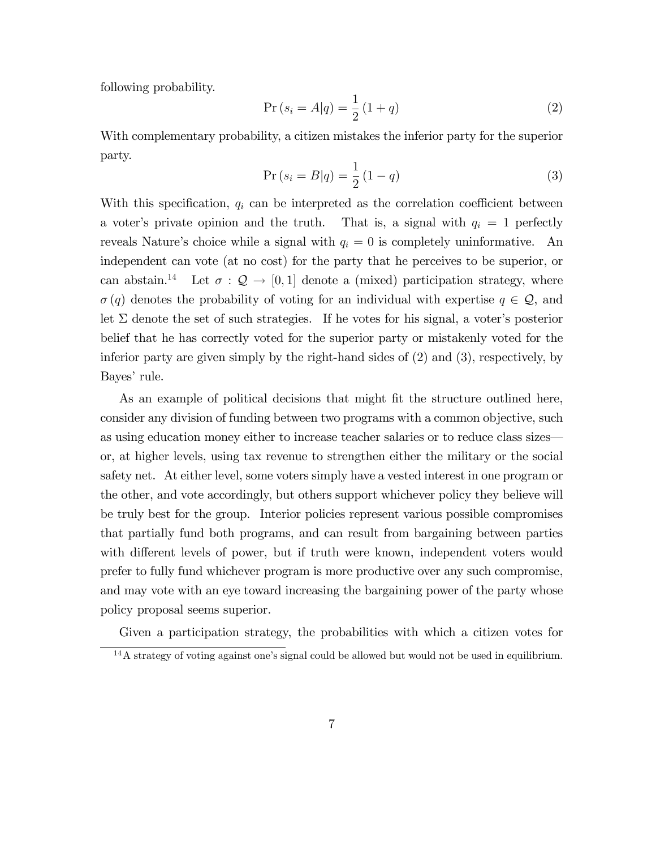following probability.

$$
Pr(s_i = A|q) = \frac{1}{2}(1+q)
$$
\n(2)

With complementary probability, a citizen mistakes the inferior party for the superior party.

$$
Pr(s_i = B|q) = \frac{1}{2}(1-q)
$$
\n(3)

With this specification,  $q_i$  can be interpreted as the correlation coefficient between a voter's private opinion and the truth. That is, a signal with  $q_i = 1$  perfectly reveals Nature's choice while a signal with  $q_i = 0$  is completely uninformative. An independent can vote (at no cost) for the party that he perceives to be superior, or can abstain.<sup>14</sup> Let  $\sigma : \mathcal{Q} \to [0, 1]$  denote a (mixed) participation strategy, where  $\sigma(q)$  denotes the probability of voting for an individual with expertise  $q \in \mathcal{Q}$ , and let  $\Sigma$  denote the set of such strategies. If he votes for his signal, a voter's posterior belief that he has correctly voted for the superior party or mistakenly voted for the inferior party are given simply by the right-hand sides of (2) and (3), respectively, by Bayes' rule.

As an example of political decisions that might fit the structure outlined here, consider any division of funding between two programs with a common objective, such as using education money either to increase teacher salaries or to reduce class sizes or, at higher levels, using tax revenue to strengthen either the military or the social safety net. At either level, some voters simply have a vested interest in one program or the other, and vote accordingly, but others support whichever policy they believe will be truly best for the group. Interior policies represent various possible compromises that partially fund both programs, and can result from bargaining between parties with different levels of power, but if truth were known, independent voters would prefer to fully fund whichever program is more productive over any such compromise, and may vote with an eye toward increasing the bargaining power of the party whose policy proposal seems superior.

Given a participation strategy, the probabilities with which a citizen votes for

 $14A$  strategy of voting against one's signal could be allowed but would not be used in equilibrium.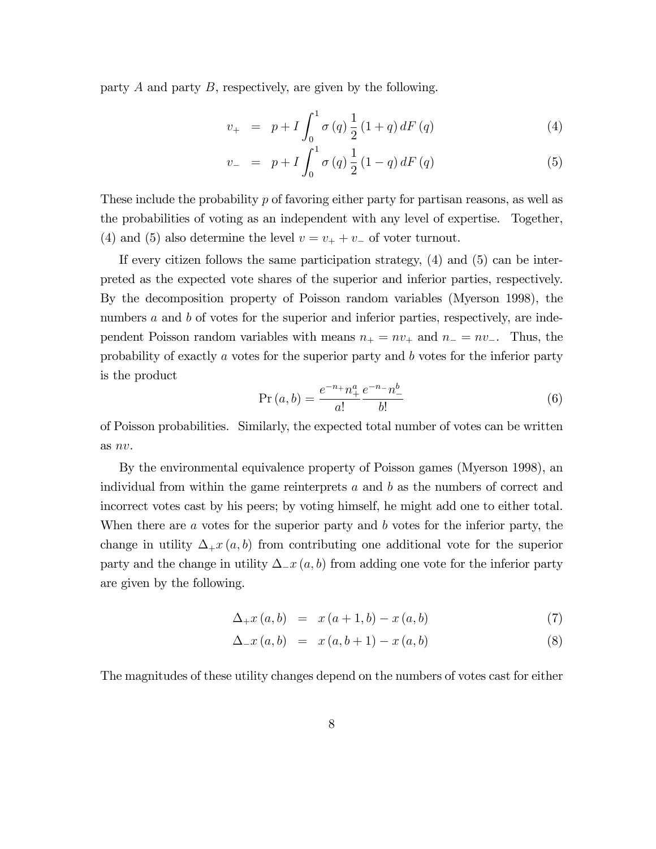party A and party B, respectively, are given by the following.

$$
v_{+} = p + I \int_{0}^{1} \sigma(q) \frac{1}{2} (1+q) dF(q)
$$
 (4)

$$
v_{-} = p + I \int_{0}^{1} \sigma(q) \frac{1}{2} (1 - q) dF(q)
$$
 (5)

These include the probability  $p$  of favoring either party for partisan reasons, as well as the probabilities of voting as an independent with any level of expertise. Together, (4) and (5) also determine the level  $v = v_+ + v_-$  of voter turnout.

If every citizen follows the same participation strategy, (4) and (5) can be interpreted as the expected vote shares of the superior and inferior parties, respectively. By the decomposition property of Poisson random variables (Myerson 1998), the numbers a and b of votes for the superior and inferior parties, respectively, are independent Poisson random variables with means  $n_+ = nv_+$  and  $n_- = nv_+$ . Thus, the probability of exactly a votes for the superior party and b votes for the inferior party is the product

$$
Pr(a, b) = \frac{e^{-n} + n_+^a}{a!} \frac{e^{-n} - n_-^b}{b!}
$$
 (6)

of Poisson probabilities. Similarly, the expected total number of votes can be written as nv.

By the environmental equivalence property of Poisson games (Myerson 1998), an individual from within the game reinterprets  $a$  and  $b$  as the numbers of correct and incorrect votes cast by his peers; by voting himself, he might add one to either total. When there are  $a$  votes for the superior party and  $b$  votes for the inferior party, the change in utility  $\Delta_+ x (a, b)$  from contributing one additional vote for the superior party and the change in utility  $\Delta_{x}(a, b)$  from adding one vote for the inferior party are given by the following.

$$
\Delta_{+}x(a,b) = x(a+1,b) - x(a,b) \tag{7}
$$

$$
\Delta_{-}x(a,b) = x(a,b+1) - x(a,b) \tag{8}
$$

The magnitudes of these utility changes depend on the numbers of votes cast for either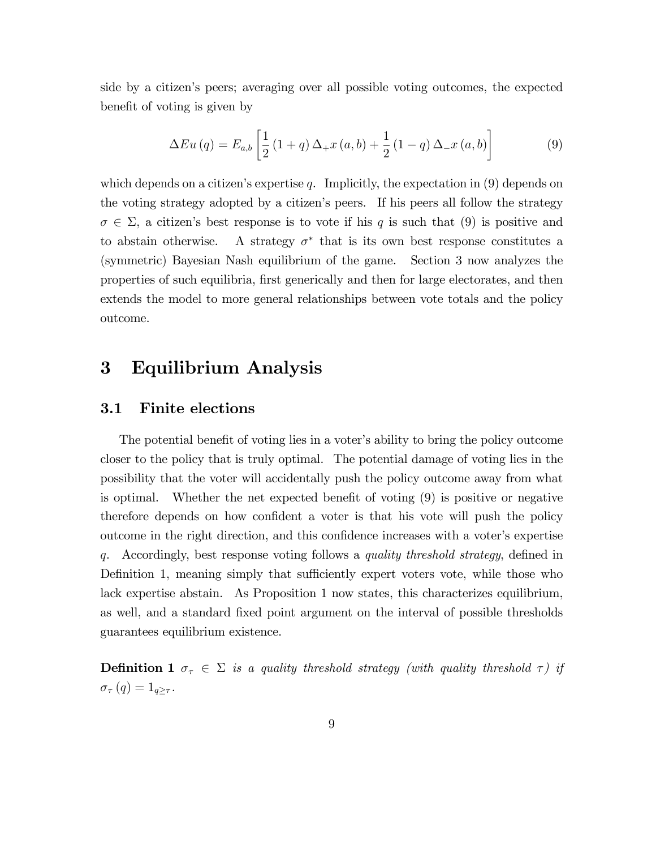side by a citizenís peers; averaging over all possible voting outcomes, the expected benefit of voting is given by

$$
\Delta Eu\left(q\right) = E_{a,b} \left[ \frac{1}{2} \left(1+q\right) \Delta_{+} x\left(a,b\right) + \frac{1}{2} \left(1-q\right) \Delta_{-} x\left(a,b\right) \right] \tag{9}
$$

which depends on a citizen's expertise  $q$ . Implicitly, the expectation in  $(9)$  depends on the voting strategy adopted by a citizen's peers. If his peers all follow the strategy  $\sigma \in \Sigma$ , a citizen's best response is to vote if his q is such that (9) is positive and to abstain otherwise. that is its own best response constitutes a (symmetric) Bayesian Nash equilibrium of the game. Section 3 now analyzes the properties of such equilibria, first generically and then for large electorates, and then extends the model to more general relationships between vote totals and the policy outcome.

### 3 Equilibrium Analysis

#### 3.1 Finite elections

The potential benefit of voting lies in a voter's ability to bring the policy outcome closer to the policy that is truly optimal. The potential damage of voting lies in the possibility that the voter will accidentally push the policy outcome away from what is optimal. Whether the net expected benefit of voting  $(9)$  is positive or negative therefore depends on how confident a voter is that his vote will push the policy outcome in the right direction, and this confidence increases with a voter's expertise q. Accordingly, best response voting follows a quality threshold strategy, defined in Definition 1, meaning simply that sufficiently expert voters vote, while those who lack expertise abstain. As Proposition 1 now states, this characterizes equilibrium, as well, and a standard fixed point argument on the interval of possible thresholds guarantees equilibrium existence.

**Definition 1**  $\sigma_{\tau} \in \Sigma$  is a quality threshold strategy (with quality threshold  $\tau$ ) if  $\sigma_{\tau}(q) = 1_{q \geq \tau}.$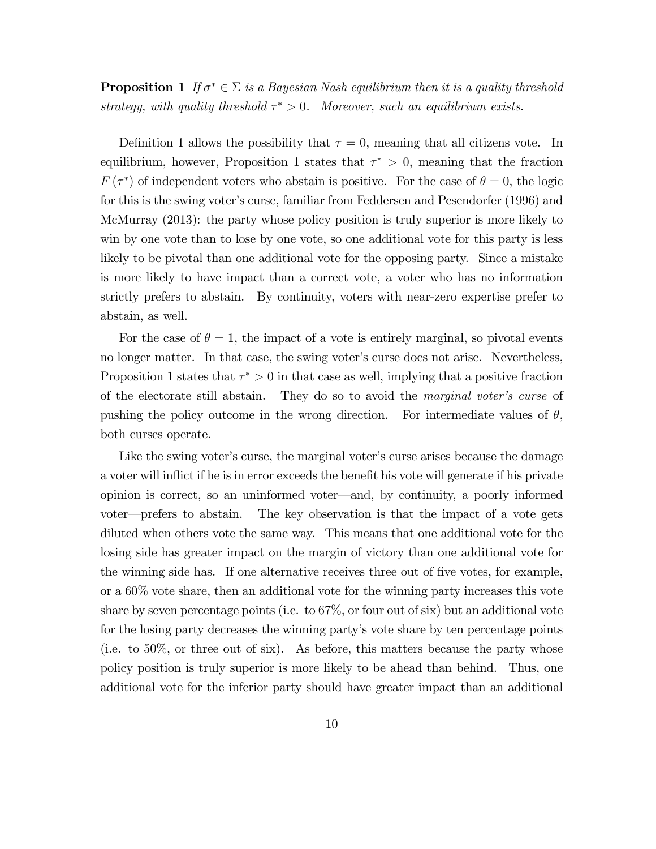### **Proposition 1** If  $\sigma^* \in \Sigma$  is a Bayesian Nash equilibrium then it is a quality threshold strategy, with quality threshold  $\tau^* > 0$ . Moreover, such an equilibrium exists.

Definition 1 allows the possibility that  $\tau = 0$ , meaning that all citizens vote. In equilibrium, however, Proposition 1 states that  $\tau^* > 0$ , meaning that the fraction  $F(\tau^*)$  of independent voters who abstain is positive. For the case of  $\theta = 0$ , the logic for this is the swing voter's curse, familiar from Feddersen and Pesendorfer (1996) and McMurray (2013): the party whose policy position is truly superior is more likely to win by one vote than to lose by one vote, so one additional vote for this party is less likely to be pivotal than one additional vote for the opposing party. Since a mistake is more likely to have impact than a correct vote, a voter who has no information strictly prefers to abstain. By continuity, voters with near-zero expertise prefer to abstain, as well.

For the case of  $\theta = 1$ , the impact of a vote is entirely marginal, so pivotal events no longer matter. In that case, the swing voter's curse does not arise. Nevertheless, Proposition 1 states that  $\tau^* > 0$  in that case as well, implying that a positive fraction of the electorate still abstain. They do so to avoid the marginal voter's curse of pushing the policy outcome in the wrong direction. For intermediate values of  $\theta$ , both curses operate.

Like the swing voter's curse, the marginal voter's curse arises because the damage a voter will inflict if he is in error exceeds the benefit his vote will generate if his private opinion is correct, so an uninformed voter—and, by continuity, a poorly informed voter—prefers to abstain. The key observation is that the impact of a vote gets diluted when others vote the same way. This means that one additional vote for the losing side has greater impact on the margin of victory than one additional vote for the winning side has. If one alternative receives three out of five votes, for example, or a 60% vote share, then an additional vote for the winning party increases this vote share by seven percentage points (i.e. to 67%, or four out of six) but an additional vote for the losing party decreases the winning partyís vote share by ten percentage points (i.e. to 50%, or three out of six). As before, this matters because the party whose policy position is truly superior is more likely to be ahead than behind. Thus, one additional vote for the inferior party should have greater impact than an additional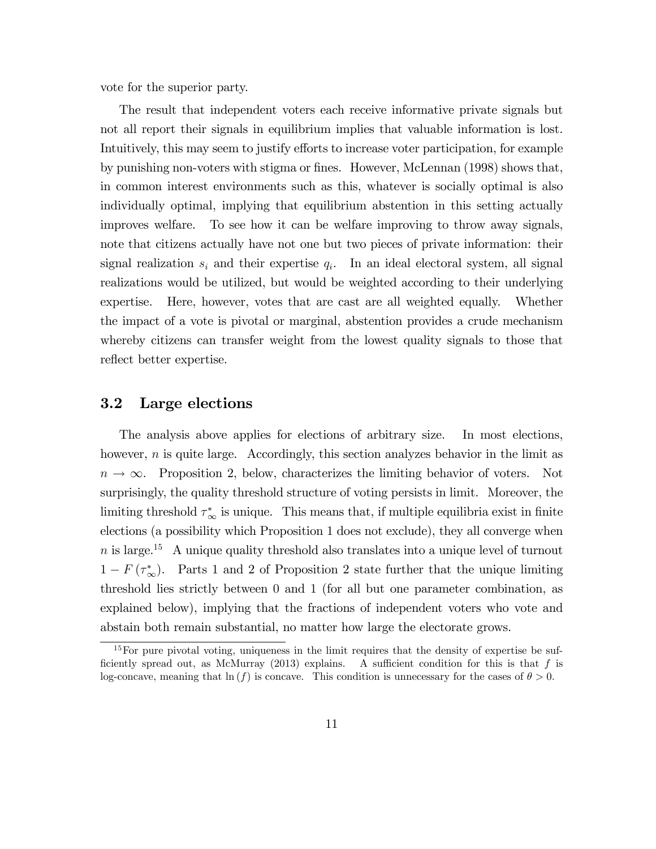vote for the superior party.

The result that independent voters each receive informative private signals but not all report their signals in equilibrium implies that valuable information is lost. Intuitively, this may seem to justify efforts to increase voter participation, for example by punishing non-voters with stigma or Önes. However, McLennan (1998) shows that, in common interest environments such as this, whatever is socially optimal is also individually optimal, implying that equilibrium abstention in this setting actually improves welfare. To see how it can be welfare improving to throw away signals, note that citizens actually have not one but two pieces of private information: their signal realization  $s_i$  and their expertise  $q_i$ . In an ideal electoral system, all signal realizations would be utilized, but would be weighted according to their underlying expertise. Here, however, votes that are cast are all weighted equally. Whether the impact of a vote is pivotal or marginal, abstention provides a crude mechanism whereby citizens can transfer weight from the lowest quality signals to those that reflect better expertise.

#### 3.2 Large elections

The analysis above applies for elections of arbitrary size. In most elections, however,  $n$  is quite large. Accordingly, this section analyzes behavior in the limit as  $n \to \infty$ . Proposition 2, below, characterizes the limiting behavior of voters. Not surprisingly, the quality threshold structure of voting persists in limit. Moreover, the limiting threshold  $\tau^*_{\infty}$  is unique. This means that, if multiple equilibria exist in finite elections (a possibility which Proposition 1 does not exclude), they all converge when  $n$  is large.<sup>15</sup> A unique quality threshold also translates into a unique level of turnout  $1 - F(\tau^*_{\infty})$ . Parts 1 and 2 of Proposition 2 state further that the unique limiting threshold lies strictly between 0 and 1 (for all but one parameter combination, as explained below), implying that the fractions of independent voters who vote and abstain both remain substantial, no matter how large the electorate grows.

 $15$  For pure pivotal voting, uniqueness in the limit requires that the density of expertise be sufficiently spread out, as McMurray (2013) explains. A sufficient condition for this is that f is log-concave, meaning that  $ln(f)$  is concave. This condition is unnecessary for the cases of  $\theta > 0$ .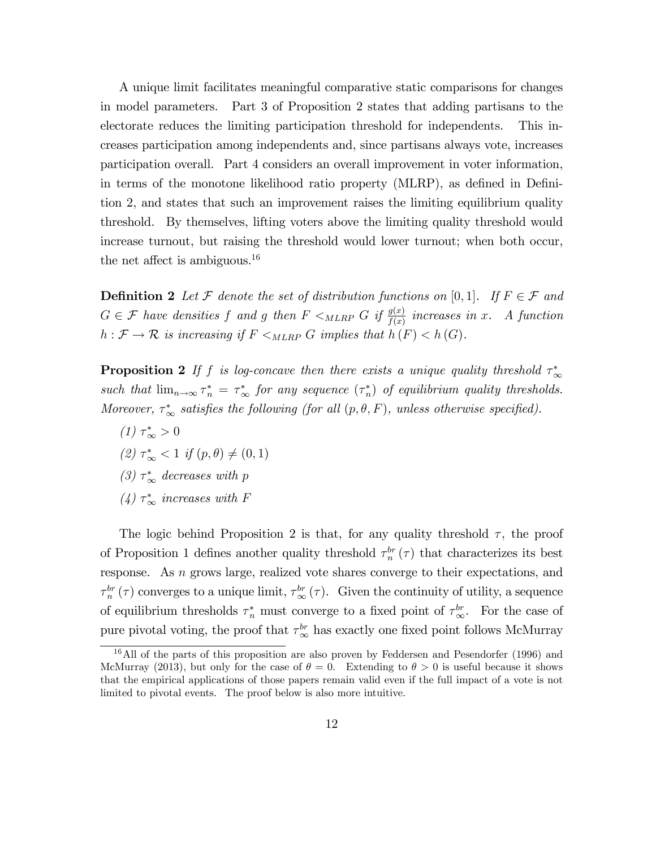A unique limit facilitates meaningful comparative static comparisons for changes in model parameters. Part 3 of Proposition 2 states that adding partisans to the electorate reduces the limiting participation threshold for independents. This increases participation among independents and, since partisans always vote, increases participation overall. Part 4 considers an overall improvement in voter information, in terms of the monotone likelihood ratio property (MLRP), as defined in Definition 2, and states that such an improvement raises the limiting equilibrium quality threshold. By themselves, lifting voters above the limiting quality threshold would increase turnout, but raising the threshold would lower turnout; when both occur, the net affect is ambiguous.<sup>16</sup>

**Definition 2** Let F denote the set of distribution functions on [0,1]. If  $F \in \mathcal{F}$  and  $G \in \mathcal{F}$  have densities f and g then  $F \lt_{MLRP} G$  if  $\frac{g(x)}{f(x)}$  increases in x. A function  $h : \mathcal{F} \to \mathcal{R}$  is increasing if  $F \leq_{MLRP} G$  implies that  $h(F) < h(G)$ .

**Proposition 2** If f is log-concave then there exists a unique quality threshold  $\tau^*_{\infty}$ such that  $\lim_{n\to\infty} \tau_n^* = \tau_\infty^*$  for any sequence  $(\tau_n^*)$  of equilibrium quality thresholds. Moreover,  $\tau^*_{\infty}$  satisfies the following (for all  $(p, \theta, F)$ , unless otherwise specified).

 $(1) \tau^*_{\infty} > 0$ (2)  $\tau^*_{\infty} < 1$  if  $(p, \theta) \neq (0, 1)$ (3)  $\tau^*_{\infty}$  decreases with p (4)  $\tau^*_{\infty}$  increases with F

The logic behind Proposition 2 is that, for any quality threshold  $\tau$ , the proof of Proposition 1 defines another quality threshold  $\tau_n^{br}(\tau)$  that characterizes its best response. As n grows large, realized vote shares converge to their expectations, and  $\tau_n^{br}(\tau)$  converges to a unique limit,  $\tau_{\infty}^{br}(\tau)$ . Given the continuity of utility, a sequence of equilibrium thresholds  $\tau_n^*$  must converge to a fixed point of  $\tau_{\infty}^{br}$ . For the case of pure pivotal voting, the proof that  $\tau_{\infty}^{br}$  has exactly one fixed point follows McMurray

<sup>&</sup>lt;sup>16</sup>All of the parts of this proposition are also proven by Feddersen and Pesendorfer (1996) and McMurray (2013), but only for the case of  $\theta = 0$ . Extending to  $\theta > 0$  is useful because it shows that the empirical applications of those papers remain valid even if the full impact of a vote is not limited to pivotal events. The proof below is also more intuitive.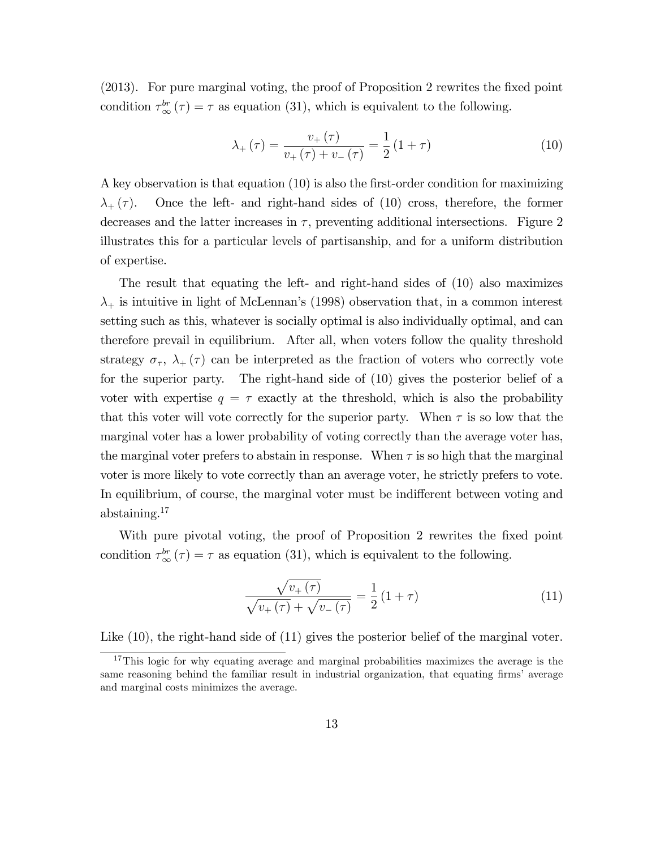(2013). For pure marginal voting, the proof of Proposition 2 rewrites the fixed point condition  $\tau_{\infty}^{br}(\tau) = \tau$  as equation (31), which is equivalent to the following.

$$
\lambda_{+}(\tau) = \frac{v_{+}(\tau)}{v_{+}(\tau) + v_{-}(\tau)} = \frac{1}{2}(1+\tau)
$$
\n(10)

A key observation is that equation  $(10)$  is also the first-order condition for maximizing  $\lambda_{+}(\tau)$ . Once the left- and right-hand sides of (10) cross, therefore, the former decreases and the latter increases in  $\tau$ , preventing additional intersections. Figure 2 illustrates this for a particular levels of partisanship, and for a uniform distribution of expertise.

The result that equating the left- and right-hand sides of (10) also maximizes  $\lambda_{+}$  is intuitive in light of McLennan's (1998) observation that, in a common interest setting such as this, whatever is socially optimal is also individually optimal, and can therefore prevail in equilibrium. After all, when voters follow the quality threshold strategy  $\sigma_{\tau}$ ,  $\lambda_{+}(\tau)$  can be interpreted as the fraction of voters who correctly vote for the superior party. The right-hand side of (10) gives the posterior belief of a voter with expertise  $q = \tau$  exactly at the threshold, which is also the probability that this voter will vote correctly for the superior party. When  $\tau$  is so low that the marginal voter has a lower probability of voting correctly than the average voter has, the marginal voter prefers to abstain in response. When  $\tau$  is so high that the marginal voter is more likely to vote correctly than an average voter, he strictly prefers to vote. In equilibrium, of course, the marginal voter must be indifferent between voting and abstaining. $17$ 

With pure pivotal voting, the proof of Proposition 2 rewrites the fixed point condition  $\tau^{br}_{\infty}(\tau) = \tau$  as equation (31), which is equivalent to the following.

$$
\frac{\sqrt{v_{+}(\tau)}}{\sqrt{v_{+}(\tau)} + \sqrt{v_{-}(\tau)}} = \frac{1}{2} (1 + \tau)
$$
\n(11)

Like  $(10)$ , the right-hand side of  $(11)$  gives the posterior belief of the marginal voter.

<sup>&</sup>lt;sup>17</sup>This logic for why equating average and marginal probabilities maximizes the average is the same reasoning behind the familiar result in industrial organization, that equating firms' average and marginal costs minimizes the average.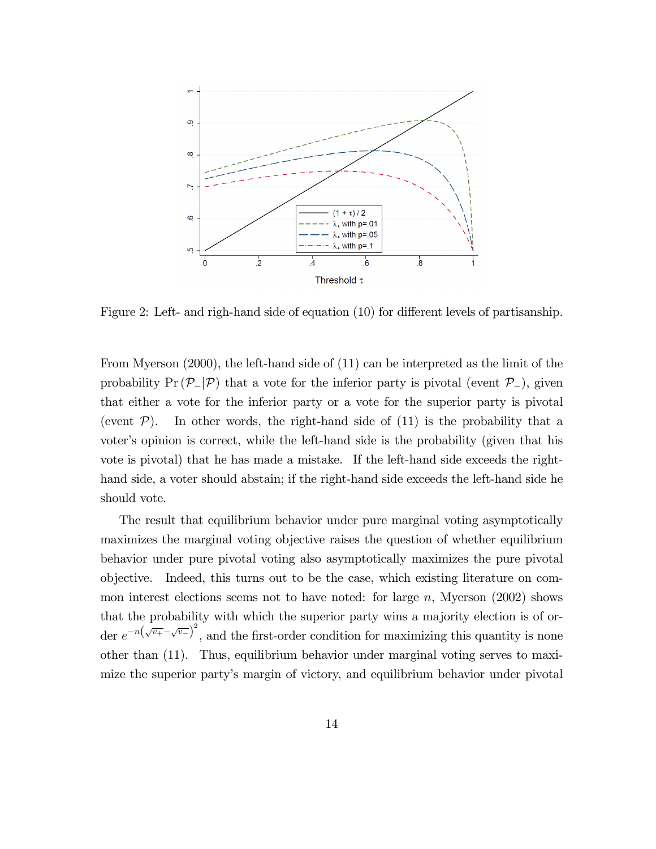

Figure 2: Left- and righ-hand side of equation  $(10)$  for different levels of partisanship.

From Myerson (2000), the left-hand side of (11) can be interpreted as the limit of the probability  $Pr(P_-|\mathcal{P})$  that a vote for the inferior party is pivotal (event  $\mathcal{P}_-$ ), given that either a vote for the inferior party or a vote for the superior party is pivotal (event  $\mathcal{P}$ ). In other words, the right-hand side of (11) is the probability that a voter's opinion is correct, while the left-hand side is the probability (given that his vote is pivotal) that he has made a mistake. If the left-hand side exceeds the righthand side, a voter should abstain; if the right-hand side exceeds the left-hand side he should vote.

The result that equilibrium behavior under pure marginal voting asymptotically maximizes the marginal voting objective raises the question of whether equilibrium behavior under pure pivotal voting also asymptotically maximizes the pure pivotal objective. Indeed, this turns out to be the case, which existing literature on common interest elections seems not to have noted: for large  $n$ , Myerson (2002) shows that the probability with which the superior party wins a majority election is of order  $e^{-n(\sqrt{v_+}-\sqrt{v_-})^2}$ , and the first-order condition for maximizing this quantity is none other than (11). Thus, equilibrium behavior under marginal voting serves to maximize the superior partyís margin of victory, and equilibrium behavior under pivotal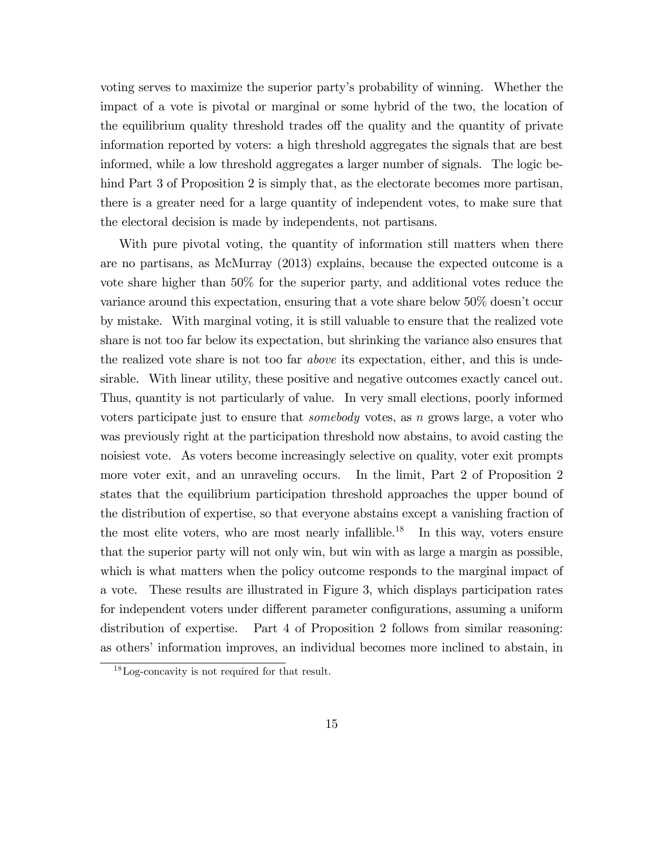voting serves to maximize the superior partyís probability of winning. Whether the impact of a vote is pivotal or marginal or some hybrid of the two, the location of the equilibrium quality threshold trades of the quality and the quantity of private information reported by voters: a high threshold aggregates the signals that are best informed, while a low threshold aggregates a larger number of signals. The logic behind Part 3 of Proposition 2 is simply that, as the electorate becomes more partisan, there is a greater need for a large quantity of independent votes, to make sure that the electoral decision is made by independents, not partisans.

With pure pivotal voting, the quantity of information still matters when there are no partisans, as McMurray (2013) explains, because the expected outcome is a vote share higher than 50% for the superior party, and additional votes reduce the variance around this expectation, ensuring that a vote share below 50% doesnít occur by mistake. With marginal voting, it is still valuable to ensure that the realized vote share is not too far below its expectation, but shrinking the variance also ensures that the realized vote share is not too far *above* its expectation, either, and this is undesirable. With linear utility, these positive and negative outcomes exactly cancel out. Thus, quantity is not particularly of value. In very small elections, poorly informed voters participate just to ensure that somebody votes, as n grows large, a voter who was previously right at the participation threshold now abstains, to avoid casting the noisiest vote. As voters become increasingly selective on quality, voter exit prompts more voter exit, and an unraveling occurs. In the limit, Part 2 of Proposition 2 states that the equilibrium participation threshold approaches the upper bound of the distribution of expertise, so that everyone abstains except a vanishing fraction of the most elite voters, who are most nearly infallible.<sup>18</sup> In this way, voters ensure that the superior party will not only win, but win with as large a margin as possible, which is what matters when the policy outcome responds to the marginal impact of a vote. These results are illustrated in Figure 3, which displays participation rates for independent voters under different parameter configurations, assuming a uniform distribution of expertise. Part 4 of Proposition 2 follows from similar reasoning: as others' information improves, an individual becomes more inclined to abstain, in

<sup>18</sup>Log-concavity is not required for that result.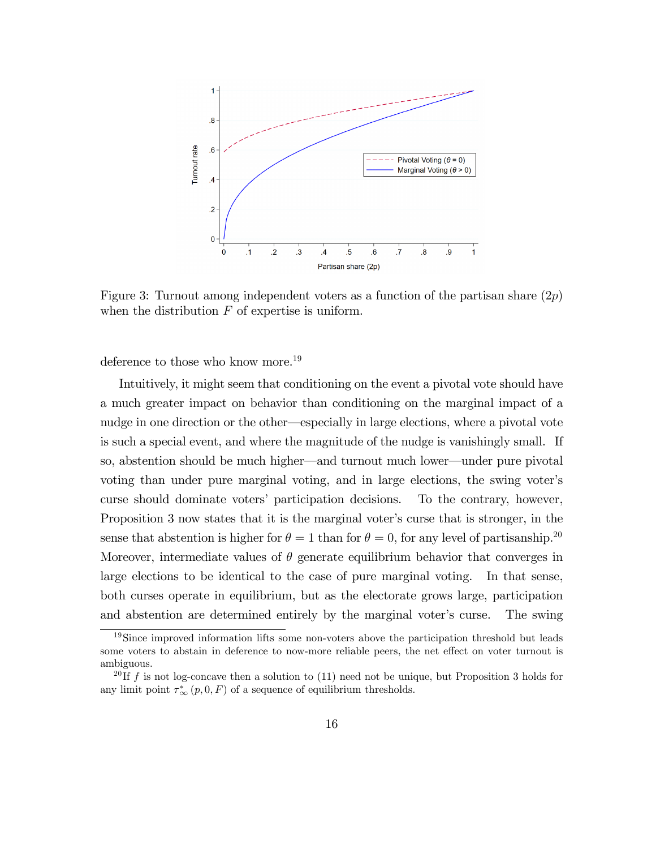

Figure 3: Turnout among independent voters as a function of the partisan share  $(2p)$ when the distribution  $F$  of expertise is uniform.

deference to those who know more.<sup>19</sup>

Intuitively, it might seem that conditioning on the event a pivotal vote should have a much greater impact on behavior than conditioning on the marginal impact of a nudge in one direction or the other—especially in large elections, where a pivotal vote is such a special event, and where the magnitude of the nudge is vanishingly small. If so, abstention should be much higher—and turnout much lower—under pure pivotal voting than under pure marginal voting, and in large elections, the swing voter's curse should dominate voters' participation decisions. To the contrary, however, Proposition 3 now states that it is the marginal voter's curse that is stronger, in the sense that abstention is higher for  $\theta = 1$  than for  $\theta = 0$ , for any level of partisanship.<sup>20</sup> Moreover, intermediate values of  $\theta$  generate equilibrium behavior that converges in large elections to be identical to the case of pure marginal voting. In that sense, both curses operate in equilibrium, but as the electorate grows large, participation and abstention are determined entirely by the marginal voter's curse. The swing

<sup>&</sup>lt;sup>19</sup>Since improved information lifts some non-voters above the participation threshold but leads some voters to abstain in deference to now-more reliable peers, the net effect on voter turnout is ambiguous.

<sup>&</sup>lt;sup>20</sup> If f is not log-concave then a solution to (11) need not be unique, but Proposition 3 holds for any limit point  $\tau^*_{\infty}(p, 0, F)$  of a sequence of equilibrium thresholds.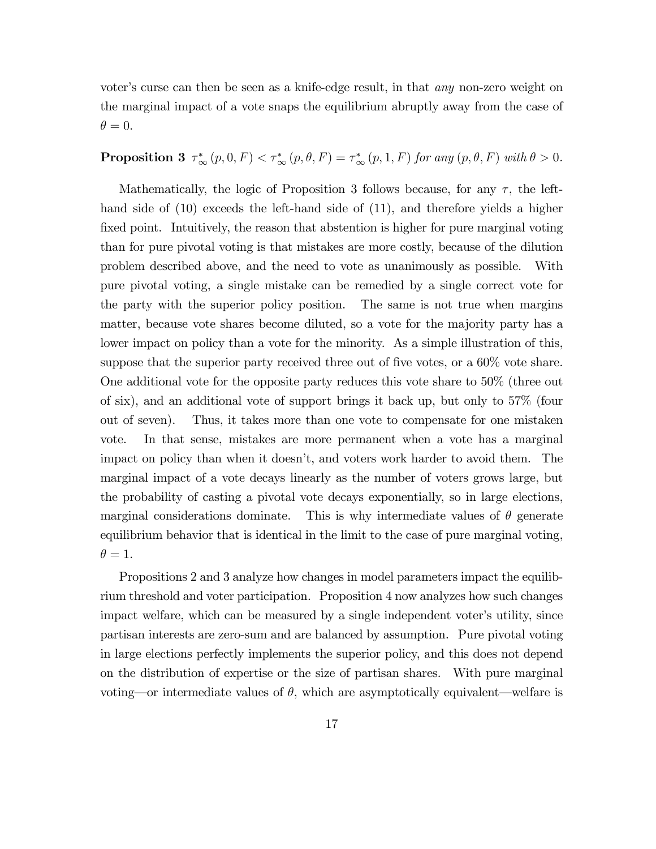voter's curse can then be seen as a knife-edge result, in that *any* non-zero weight on the marginal impact of a vote snaps the equilibrium abruptly away from the case of  $\theta = 0.$ 

### **Proposition 3**  $\tau_{\infty}^{*}(p, 0, F) < \tau_{\infty}^{*}(p, \theta, F) = \tau_{\infty}^{*}(p, 1, F)$  for any  $(p, \theta, F)$  with  $\theta > 0$ .

Mathematically, the logic of Proposition 3 follows because, for any  $\tau$ , the lefthand side of (10) exceeds the left-hand side of (11), and therefore yields a higher fixed point. Intuitively, the reason that abstention is higher for pure marginal voting than for pure pivotal voting is that mistakes are more costly, because of the dilution problem described above, and the need to vote as unanimously as possible. With pure pivotal voting, a single mistake can be remedied by a single correct vote for the party with the superior policy position. The same is not true when margins matter, because vote shares become diluted, so a vote for the majority party has a lower impact on policy than a vote for the minority. As a simple illustration of this, suppose that the superior party received three out of five votes, or a  $60\%$  vote share. One additional vote for the opposite party reduces this vote share to 50% (three out of six), and an additional vote of support brings it back up, but only to 57% (four out of seven). Thus, it takes more than one vote to compensate for one mistaken vote. In that sense, mistakes are more permanent when a vote has a marginal impact on policy than when it doesn't, and voters work harder to avoid them. The marginal impact of a vote decays linearly as the number of voters grows large, but the probability of casting a pivotal vote decays exponentially, so in large elections, marginal considerations dominate. This is why intermediate values of  $\theta$  generate equilibrium behavior that is identical in the limit to the case of pure marginal voting,  $\theta = 1.$ 

Propositions 2 and 3 analyze how changes in model parameters impact the equilibrium threshold and voter participation. Proposition 4 now analyzes how such changes impact welfare, which can be measured by a single independent voter's utility, since partisan interests are zero-sum and are balanced by assumption. Pure pivotal voting in large elections perfectly implements the superior policy, and this does not depend on the distribution of expertise or the size of partisan shares. With pure marginal voting—or intermediate values of  $\theta$ , which are asymptotically equivalent—welfare is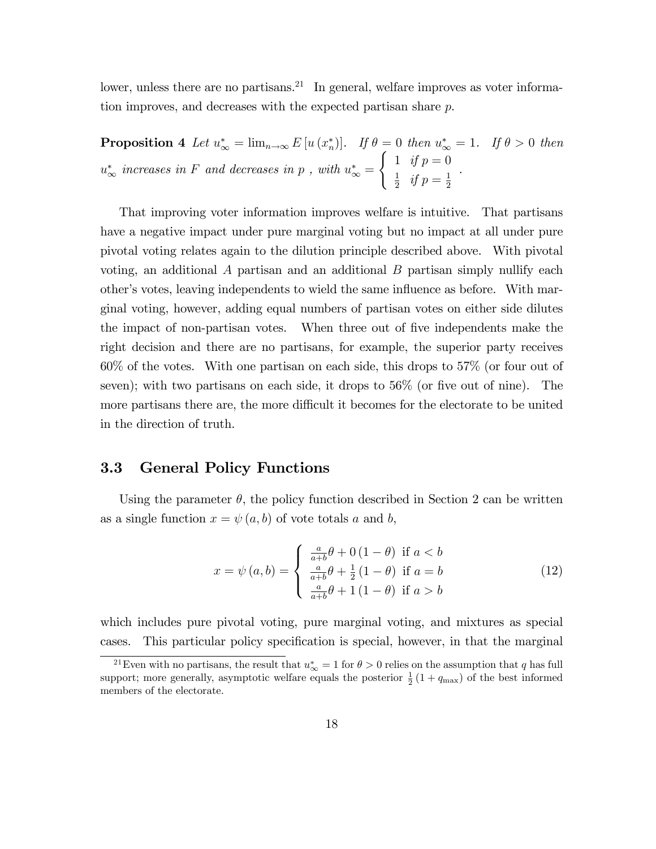lower, unless there are no partisans.<sup>21</sup> In general, welfare improves as voter information improves, and decreases with the expected partisan share p.

**Proposition 4** Let  $u^*_{\infty} = \lim_{n \to \infty} E[u(x_n^*)]$ . If  $\theta = 0$  then  $u^*_{\infty} = 1$ . If  $\theta > 0$  then  $u_{\infty}^{*}$  increases in F and decreases in p, with  $u_{\infty}^{*} =$  $\int 1 \text{ if } p = 0$ 1  $\frac{1}{2}$  if  $p = \frac{1}{2}$ 2 .

That improving voter information improves welfare is intuitive. That partisans have a negative impact under pure marginal voting but no impact at all under pure pivotal voting relates again to the dilution principle described above. With pivotal voting, an additional  $A$  partisan and an additional  $B$  partisan simply nullify each other's votes, leaving independents to wield the same influence as before. With marginal voting, however, adding equal numbers of partisan votes on either side dilutes the impact of non-partisan votes. When three out of five independents make the right decision and there are no partisans, for example, the superior party receives 60% of the votes. With one partisan on each side, this drops to 57% (or four out of seven); with two partisans on each side, it drops to  $56\%$  (or five out of nine). The more partisans there are, the more difficult it becomes for the electorate to be united in the direction of truth.

#### 3.3 General Policy Functions

Using the parameter  $\theta$ , the policy function described in Section 2 can be written as a single function  $x = \psi(a, b)$  of vote totals a and b,

$$
x = \psi(a, b) = \begin{cases} \frac{a}{a+b}\theta + 0(1-\theta) & \text{if } a < b\\ \frac{a}{a+b}\theta + \frac{1}{2}(1-\theta) & \text{if } a = b\\ \frac{a}{a+b}\theta + 1(1-\theta) & \text{if } a > b \end{cases}
$$
(12)

which includes pure pivotal voting, pure marginal voting, and mixtures as special cases. This particular policy specification is special, however, in that the marginal

<sup>&</sup>lt;sup>21</sup>Even with no partisans, the result that  $u^*_{\infty} = 1$  for  $\theta > 0$  relies on the assumption that q has full support; more generally, asymptotic welfare equals the posterior  $\frac{1}{2}(1+q_{\text{max}})$  of the best informed members of the electorate.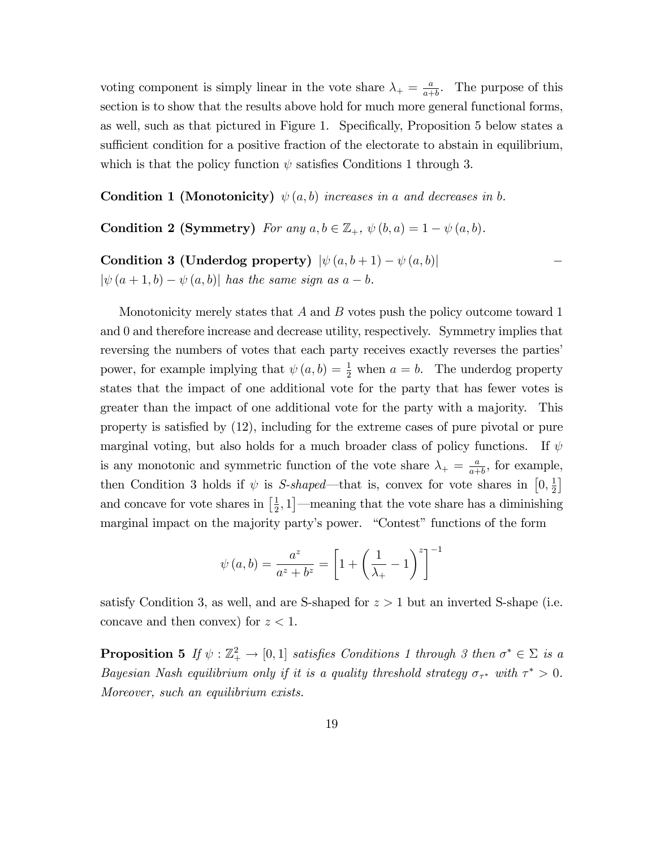voting component is simply linear in the vote share  $\lambda_{+} = \frac{a}{a+}$  $\frac{a}{a+b}$ . The purpose of this section is to show that the results above hold for much more general functional forms, as well, such as that pictured in Figure 1. Specifically, Proposition 5 below states a sufficient condition for a positive fraction of the electorate to abstain in equilibrium, which is that the policy function  $\psi$  satisfies Conditions 1 through 3.

**Condition 1 (Monotonicity)**  $\psi(a, b)$  increases in a and decreases in b.

Condition 2 (Symmetry) For any  $a, b \in \mathbb{Z}_+$ ,  $\psi(b, a) = 1 - \psi(a, b)$ .

Condition 3 (Underdog property)  $|\psi(a, b+1) - \psi(a, b)|$  $|\psi(a + 1, b) - \psi(a, b)|$  has the same sign as  $a - b$ .

Monotonicity merely states that  $A$  and  $B$  votes push the policy outcome toward 1 and 0 and therefore increase and decrease utility, respectively. Symmetry implies that reversing the numbers of votes that each party receives exactly reverses the parties<sup>?</sup> power, for example implying that  $\psi(a, b) = \frac{1}{2}$  when  $a = b$ . The underdog property states that the impact of one additional vote for the party that has fewer votes is greater than the impact of one additional vote for the party with a majority. This property is satisfied by  $(12)$ , including for the extreme cases of pure pivotal or pure marginal voting, but also holds for a much broader class of policy functions. If  $\psi$ is any monotonic and symmetric function of the vote share  $\lambda_{+} = \frac{a}{a_{+}}$  $\frac{a}{a+b}$ , for example, then Condition 3 holds if  $\psi$  is *S-shaped*—that is, convex for vote shares in  $[0, \frac{1}{2}]$  $\frac{1}{2}$ and concave for vote shares in  $\left[\frac{1}{2}\right]$  $\frac{1}{2}$ , 1]—meaning that the vote share has a diminishing marginal impact on the majority party's power. "Contest" functions of the form

$$
\psi(a,b) = \frac{a^z}{a^z + b^z} = \left[1 + \left(\frac{1}{\lambda_+} - 1\right)^z\right]^{-1}
$$

satisfy Condition 3, as well, and are S-shaped for  $z > 1$  but an inverted S-shape (i.e. concave and then convex) for  $z < 1$ .

**Proposition 5** If  $\psi : \mathbb{Z}_+^2 \to [0,1]$  satisfies Conditions 1 through 3 then  $\sigma^* \in \Sigma$  is a Bayesian Nash equilibrium only if it is a quality threshold strategy  $\sigma_{\tau^*}$  with  $\tau^* > 0$ . Moreover, such an equilibrium exists.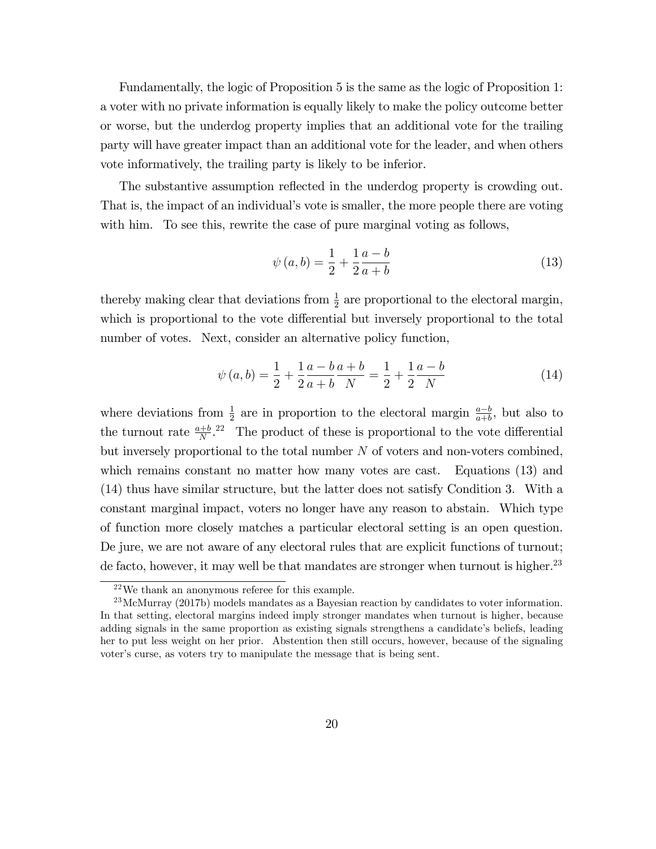Fundamentally, the logic of Proposition 5 is the same as the logic of Proposition 1: a voter with no private information is equally likely to make the policy outcome better or worse, but the underdog property implies that an additional vote for the trailing party will have greater impact than an additional vote for the leader, and when others vote informatively, the trailing party is likely to be inferior.

The substantive assumption reflected in the underdog property is crowding out. That is, the impact of an individual's vote is smaller, the more people there are voting with him. To see this, rewrite the case of pure marginal voting as follows,

$$
\psi(a,b) = \frac{1}{2} + \frac{1}{2} \frac{a-b}{a+b}
$$
\n(13)

thereby making clear that deviations from  $\frac{1}{2}$  are proportional to the electoral margin, which is proportional to the vote differential but inversely proportional to the total number of votes. Next, consider an alternative policy function,

$$
\psi(a,b) = \frac{1}{2} + \frac{1}{2} \frac{a-b}{a+b} \frac{a+b}{N} = \frac{1}{2} + \frac{1}{2} \frac{a-b}{N}
$$
(14)

where deviations from  $\frac{1}{2}$  are in proportion to the electoral margin  $\frac{a-b}{a+b}$ , but also to the turnout rate  $\frac{a+b}{N}$ .<sup>22</sup> The product of these is proportional to the vote differential but inversely proportional to the total number  $N$  of voters and non-voters combined, which remains constant no matter how many votes are cast. Equations (13) and (14) thus have similar structure, but the latter does not satisfy Condition 3. With a constant marginal impact, voters no longer have any reason to abstain. Which type of function more closely matches a particular electoral setting is an open question. De jure, we are not aware of any electoral rules that are explicit functions of turnout; de facto, however, it may well be that mandates are stronger when turnout is higher.<sup>23</sup>

<sup>22</sup>We thank an anonymous referee for this example.

 $^{23}$ McMurray (2017b) models mandates as a Bayesian reaction by candidates to voter information. In that setting, electoral margins indeed imply stronger mandates when turnout is higher, because adding signals in the same proportion as existing signals strengthens a candidate's beliefs, leading her to put less weight on her prior. Abstention then still occurs, however, because of the signaling voter's curse, as voters try to manipulate the message that is being sent.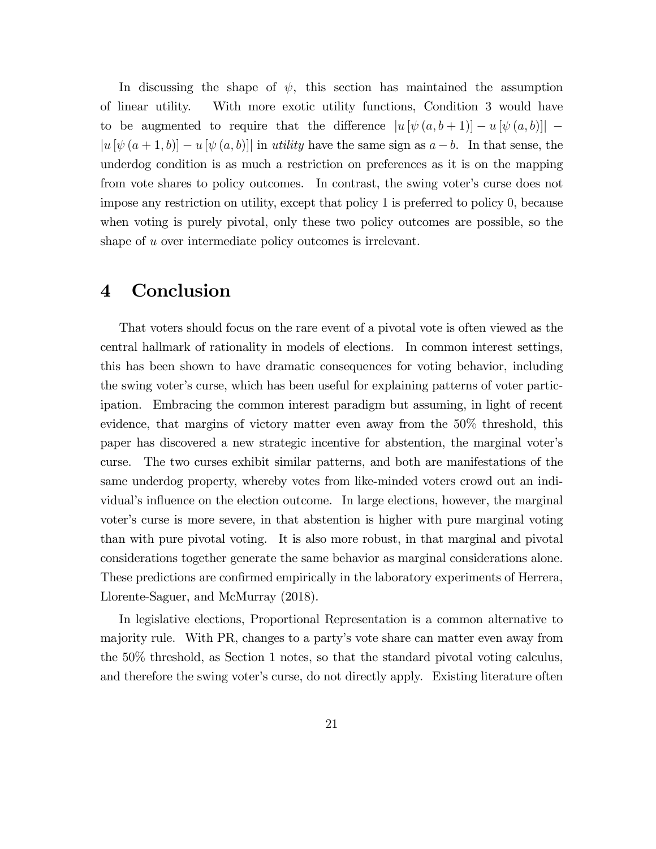In discussing the shape of  $\psi$ , this section has maintained the assumption of linear utility. With more exotic utility functions, Condition 3 would have to be augmented to require that the difference  $|u \left[ \psi (a, b + 1) \right] - u \left[ \psi (a, b) \right]|$  $|u \left[ \psi \left( a+1,b \right) \right]-u \left[ \psi \left( a,b \right) \right]|$  in utility have the same sign as  $a-b$ . In that sense, the underdog condition is as much a restriction on preferences as it is on the mapping from vote shares to policy outcomes. In contrast, the swing voter's curse does not impose any restriction on utility, except that policy 1 is preferred to policy 0, because when voting is purely pivotal, only these two policy outcomes are possible, so the shape of u over intermediate policy outcomes is irrelevant.

### 4 Conclusion

That voters should focus on the rare event of a pivotal vote is often viewed as the central hallmark of rationality in models of elections. In common interest settings, this has been shown to have dramatic consequences for voting behavior, including the swing voter's curse, which has been useful for explaining patterns of voter participation. Embracing the common interest paradigm but assuming, in light of recent evidence, that margins of victory matter even away from the 50% threshold, this paper has discovered a new strategic incentive for abstention, the marginal voterís curse. The two curses exhibit similar patterns, and both are manifestations of the same underdog property, whereby votes from like-minded voters crowd out an individual's influence on the election outcome. In large elections, however, the marginal voter's curse is more severe, in that abstention is higher with pure marginal voting than with pure pivotal voting. It is also more robust, in that marginal and pivotal considerations together generate the same behavior as marginal considerations alone. These predictions are confirmed empirically in the laboratory experiments of Herrera, Llorente-Saguer, and McMurray (2018).

In legislative elections, Proportional Representation is a common alternative to majority rule. With PR, changes to a partyís vote share can matter even away from the 50% threshold, as Section 1 notes, so that the standard pivotal voting calculus, and therefore the swing voter's curse, do not directly apply. Existing literature often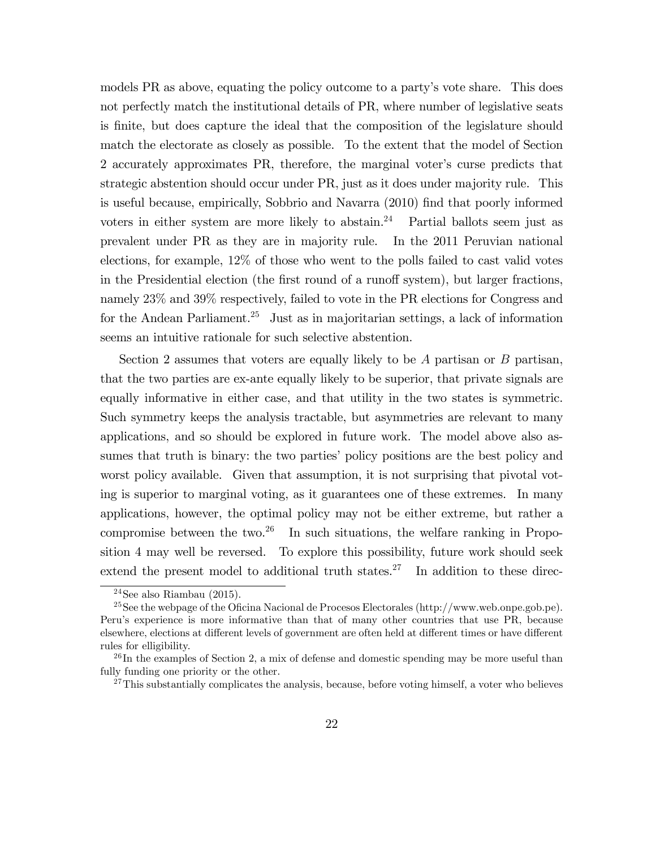models PR as above, equating the policy outcome to a party's vote share. This does not perfectly match the institutional details of PR, where number of legislative seats is Önite, but does capture the ideal that the composition of the legislature should match the electorate as closely as possible. To the extent that the model of Section 2 accurately approximates PR, therefore, the marginal voter's curse predicts that strategic abstention should occur under PR, just as it does under majority rule. This is useful because, empirically, Sobbrio and Navarra (2010) find that poorly informed voters in either system are more likely to abstain.<sup>24</sup> Partial ballots seem just as prevalent under PR as they are in majority rule. In the 2011 Peruvian national elections, for example, 12% of those who went to the polls failed to cast valid votes in the Presidential election (the first round of a runoff system), but larger fractions, namely 23% and 39% respectively, failed to vote in the PR elections for Congress and for the Andean Parliament.<sup>25</sup> Just as in majoritarian settings, a lack of information seems an intuitive rationale for such selective abstention.

Section 2 assumes that voters are equally likely to be  $A$  partisan or  $B$  partisan, that the two parties are ex-ante equally likely to be superior, that private signals are equally informative in either case, and that utility in the two states is symmetric. Such symmetry keeps the analysis tractable, but asymmetries are relevant to many applications, and so should be explored in future work. The model above also assumes that truth is binary: the two parties' policy positions are the best policy and worst policy available. Given that assumption, it is not surprising that pivotal voting is superior to marginal voting, as it guarantees one of these extremes. In many applications, however, the optimal policy may not be either extreme, but rather a compromise between the two.<sup>26</sup> In such situations, the welfare ranking in Proposition 4 may well be reversed. To explore this possibility, future work should seek extend the present model to additional truth states.<sup>27</sup> In addition to these direc-

 $24$ See also Riambau (2015).

 $^{25}$ See the webpage of the Oficina Nacional de Procesos Electorales (http://www.web.onpe.gob.pe). Peruís experience is more informative than that of many other countries that use PR, because elsewhere, elections at different levels of government are often held at different times or have different rules for elligibility.

 $^{26}$ In the examples of Section 2, a mix of defense and domestic spending may be more useful than fully funding one priority or the other.

 $27$ This substantially complicates the analysis, because, before voting himself, a voter who believes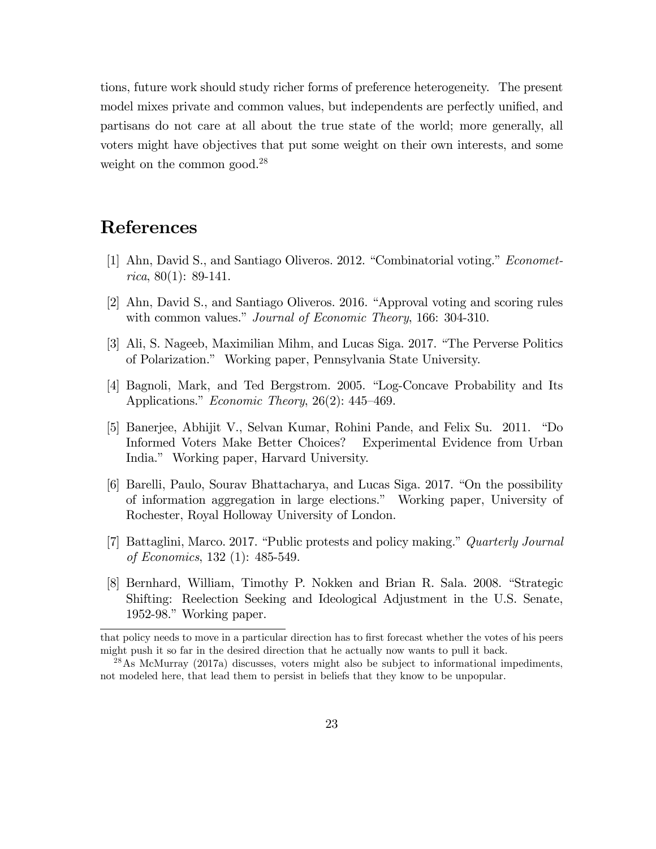tions, future work should study richer forms of preference heterogeneity. The present model mixes private and common values, but independents are perfectly unified, and partisans do not care at all about the true state of the world; more generally, all voters might have objectives that put some weight on their own interests, and some weight on the common good.<sup>28</sup>

## References

- [1] Ahn, David S., and Santiago Oliveros. 2012. "Combinatorial voting." *Economet*rica, 80(1): 89-141.
- [2] Ahn, David S., and Santiago Oliveros. 2016. "Approval voting and scoring rules with common values." Journal of Economic Theory, 166: 304-310.
- [3] Ali, S. Nageeb, Maximilian Mihm, and Lucas Siga. 2017. "The Perverse Politics of Polarization.î Working paper, Pennsylvania State University.
- [4] Bagnoli, Mark, and Ted Bergstrom. 2005. "Log-Concave Probability and Its Applications." *Economic Theory*,  $26(2)$ : 445–469.
- [5] Banerjee, Abhijit V., Selvan Kumar, Rohini Pande, and Felix Su. 2011. *"Do* Informed Voters Make Better Choices? Experimental Evidence from Urban India.î Working paper, Harvard University.
- [6] Barelli, Paulo, Sourav Bhattacharya, and Lucas Siga. 2017. "On the possibility of information aggregation in large elections.î Working paper, University of Rochester, Royal Holloway University of London.
- [7] Battaglini, Marco. 2017. "Public protests and policy making." Quarterly Journal of Economics, 132 (1): 485-549.
- [8] Bernhard, William, Timothy P. Nokken and Brian R. Sala. 2008. "Strategic Shifting: Reelection Seeking and Ideological Adjustment in the U.S. Senate, 1952-98." Working paper.

that policy needs to move in a particular direction has to first forecast whether the votes of his peers might push it so far in the desired direction that he actually now wants to pull it back.

<sup>28</sup>As McMurray (2017a) discusses, voters might also be subject to informational impediments, not modeled here, that lead them to persist in beliefs that they know to be unpopular.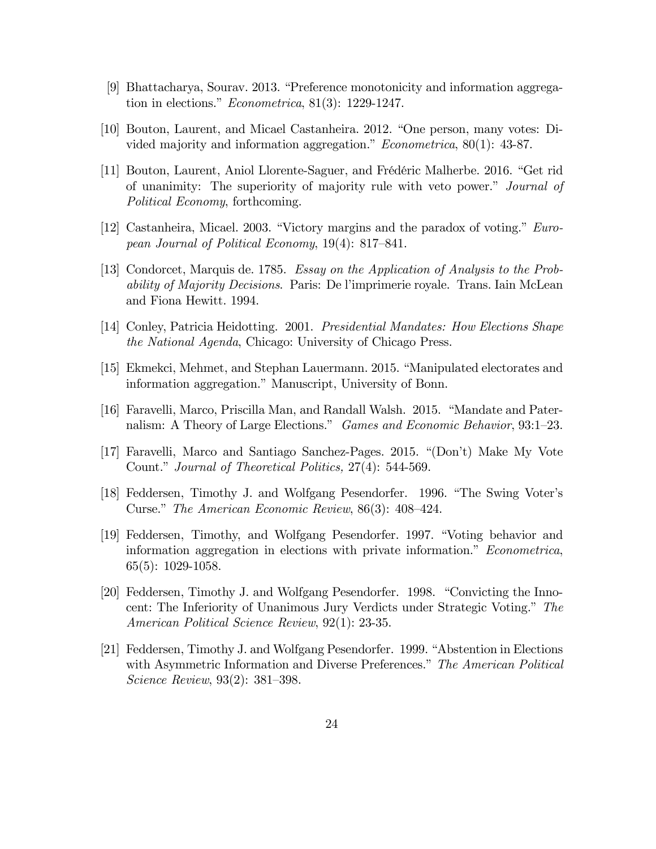- [9] Bhattacharya, Sourav. 2013. "Preference monotonicity and information aggregation in elections."  $Econometrica$ , 81(3): 1229-1247.
- [10] Bouton, Laurent, and Micael Castanheira. 2012. "One person, many votes: Divided majority and information aggregation."  $Econometrica$ , 80(1): 43-87.
- [11] Bouton, Laurent, Aniol Llorente-Saguer, and Frédéric Malherbe. 2016. "Get rid of unanimity: The superiority of majority rule with veto power." *Journal of* Political Economy, forthcoming.
- [12] Castanheira, Micael. 2003. "Victory margins and the paradox of voting."  $Euro$ pean Journal of Political Economy,  $19(4)$ : 817–841.
- [13] Condorcet, Marquis de. 1785. Essay on the Application of Analysis to the Probability of Majority Decisions. Paris: De líimprimerie royale. Trans. Iain McLean and Fiona Hewitt. 1994.
- [14] Conley, Patricia Heidotting. 2001. Presidential Mandates: How Elections Shape the National Agenda, Chicago: University of Chicago Press.
- [15] Ekmekci, Mehmet, and Stephan Lauermann. 2015. "Manipulated electorates and information aggregation." Manuscript, University of Bonn.
- [16] Faravelli, Marco, Priscilla Man, and Randall Walsh. 2015. "Mandate and Paternalism: A Theory of Large Elections." Games and Economic Behavior, 93:1-23.
- [17] Faravelli, Marco and Santiago Sanchez-Pages.  $2015.$  "(Don't) Make My Vote Count." Journal of Theoretical Politics, 27(4): 544-569.
- [18] Feddersen, Timothy J. and Wolfgang Pesendorfer. 1996. "The Swing Voter's Curse." The American Economic Review,  $86(3)$ : 408–424.
- [19] Feddersen, Timothy, and Wolfgang Pesendorfer. 1997. "Voting behavior and information aggregation in elections with private information." Econometrica, 65(5): 1029-1058.
- [20] Feddersen, Timothy J. and Wolfgang Pesendorfer. 1998. "Convicting the Innocent: The Inferiority of Unanimous Jury Verdicts under Strategic Voting." The American Political Science Review, 92(1): 23-35.
- [21] Feddersen, Timothy J. and Wolfgang Pesendorfer. 1999. "Abstention in Elections with Asymmetric Information and Diverse Preferences." The American Political *Science Review*,  $93(2)$ :  $381-398$ .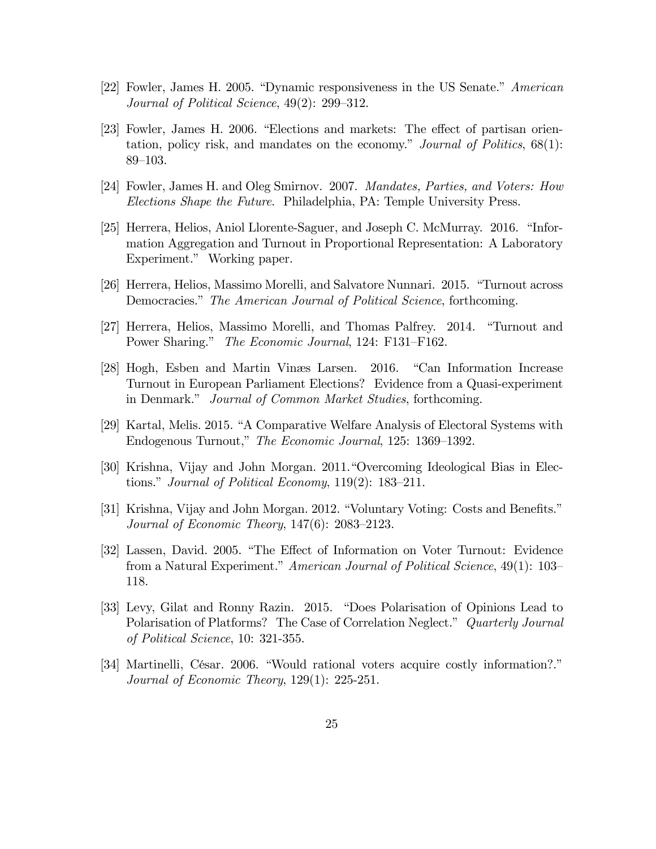- [22] Fowler, James H. 2005. "Dynamic responsiveness in the US Senate." American Journal of Political Science,  $49(2)$ :  $299-312$ .
- [23] Fowler, James H. 2006. "Elections and markets: The effect of partisan orientation, policy risk, and mandates on the economy." Journal of Politics,  $68(1)$ : 89–103.
- [24] Fowler, James H. and Oleg Smirnov. 2007. Mandates, Parties, and Voters: How Elections Shape the Future. Philadelphia, PA: Temple University Press.
- [25] Herrera, Helios, Aniol Llorente-Saguer, and Joseph C. McMurray. 2016. "Information Aggregation and Turnout in Proportional Representation: A Laboratory Experiment." Working paper.
- [26] Herrera, Helios, Massimo Morelli, and Salvatore Nunnari. 2015. "Turnout across Democracies." The American Journal of Political Science, forthcoming.
- [27] Herrera, Helios, Massimo Morelli, and Thomas Palfrey. 2014. "Turnout and Power Sharing." The Economic Journal, 124: F131-F162.
- [28] Hogh, Esben and Martin Vinæs Larsen. 2016. "Can Information Increase Turnout in European Parliament Elections? Evidence from a Quasi-experiment in Denmark." Journal of Common Market Studies, forthcoming.
- [29] Kartal, Melis. 2015. "A Comparative Welfare Analysis of Electoral Systems with Endogenous Turnout," The Economic Journal, 125: 1369–1392.
- [30] Krishna, Vijay and John Morgan. 2011. "Overcoming Ideological Bias in Elections." Journal of Political Economy,  $119(2)$ : 183–211.
- [31] Krishna, Vijay and John Morgan. 2012. "Voluntary Voting: Costs and Benefits." Journal of Economic Theory,  $147(6)$ :  $2083-2123$ .
- [32] Lassen, David. 2005. "The Effect of Information on Voter Turnout: Evidence from a Natural Experiment." American Journal of Political Science,  $49(1): 103$ 118.
- [33] Levy, Gilat and Ronny Razin. 2015. "Does Polarisation of Opinions Lead to Polarisation of Platforms? The Case of Correlation Neglect." Quarterly Journal of Political Science, 10: 321-355.
- [34] Martinelli, César. 2006. "Would rational voters acquire costly information?." Journal of Economic Theory, 129(1): 225-251.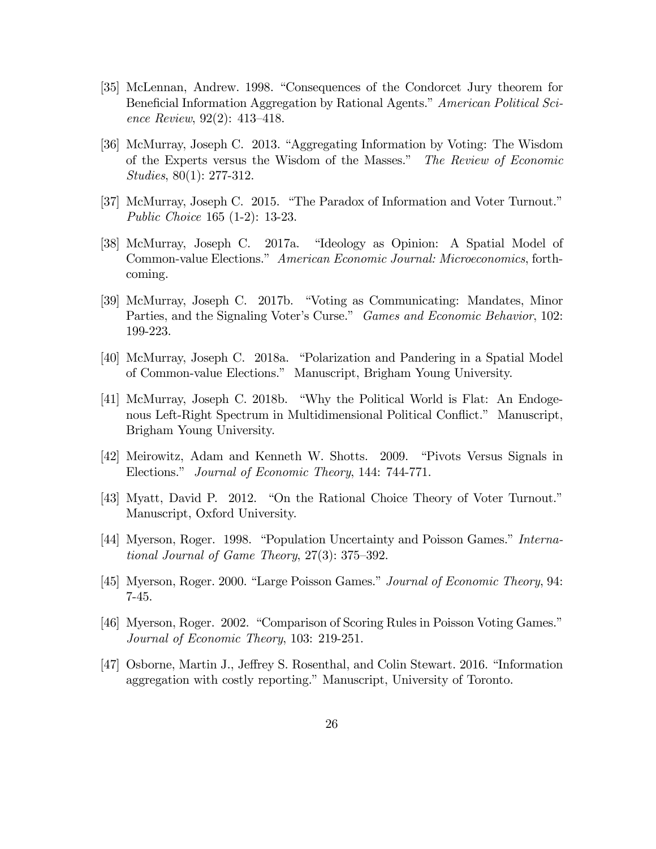- [35] McLennan, Andrew. 1998. "Consequences of the Condorcet Jury theorem for Beneficial Information Aggregation by Rational Agents." American Political Science Review,  $92(2)$ : 413-418.
- [36] McMurray, Joseph C. 2013. "Aggregating Information by Voting: The Wisdom of the Experts versus the Wisdom of the Masses." The Review of Economic Studies, 80(1): 277-312.
- [37] McMurray, Joseph C. 2015. "The Paradox of Information and Voter Turnout." Public Choice 165 (1-2): 13-23.
- [38] McMurray, Joseph C. 2017a. "Ideology as Opinion: A Spatial Model of Common-value Elections." American Economic Journal: Microeconomics, forthcoming.
- [39] McMurray, Joseph C. 2017b. "Voting as Communicating: Mandates, Minor Parties, and the Signaling Voter's Curse." Games and Economic Behavior, 102: 199-223.
- [40] McMurray, Joseph C. 2018a. "Polarization and Pandering in a Spatial Model of Common-value Elections.î Manuscript, Brigham Young University.
- [41] McMurray, Joseph C. 2018b. "Why the Political World is Flat: An Endogenous Left-Right Spectrum in Multidimensional Political Conflict." Manuscript, Brigham Young University.
- [42] Meirowitz, Adam and Kenneth W. Shotts. 2009. "Pivots Versus Signals in Elections." Journal of Economic Theory, 144: 744-771.
- [43] Myatt, David P. 2012. "On the Rational Choice Theory of Voter Turnout." Manuscript, Oxford University.
- [44] Myerson, Roger. 1998. "Population Uncertainty and Poisson Games." International Journal of Game Theory,  $27(3)$ :  $375-392$ .
- [45] Myerson, Roger. 2000. "Large Poisson Games." Journal of Economic Theory, 94: 7-45.
- [46] Myerson, Roger. 2002. "Comparison of Scoring Rules in Poisson Voting Games." Journal of Economic Theory, 103: 219-251.
- [47] Osborne, Martin J., Jeffrey S. Rosenthal, and Colin Stewart. 2016. "Information aggregation with costly reporting." Manuscript, University of Toronto.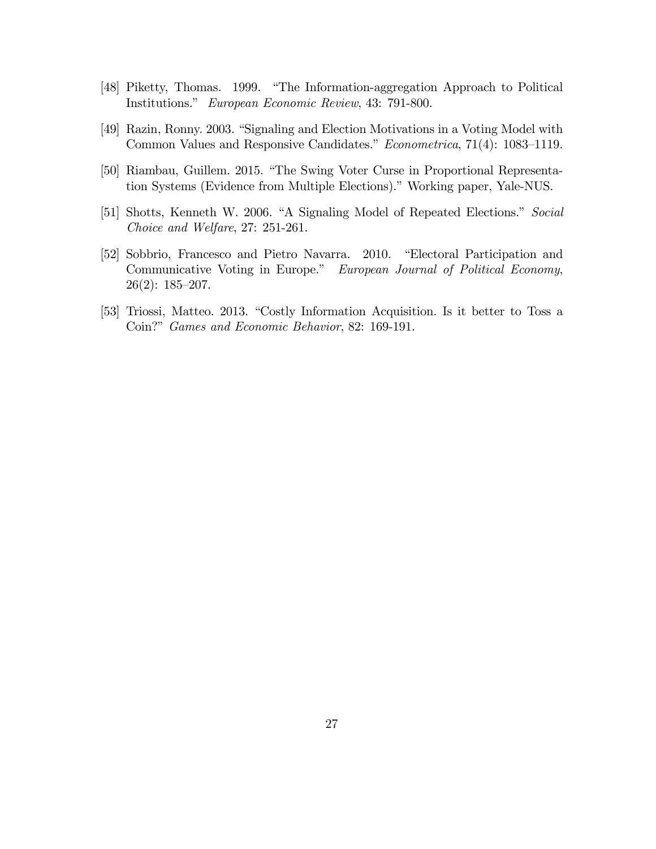- [48] Piketty, Thomas. 1999. "The Information-aggregation Approach to Political Institutions.î European Economic Review, 43: 791-800.
- [49] Razin, Ronny. 2003. "Signaling and Election Motivations in a Voting Model with Common Values and Responsive Candidates."  $Econometrica$ , 71(4): 1083–1119.
- [50] Riambau, Guillem. 2015. "The Swing Voter Curse in Proportional Representation Systems (Evidence from Multiple Elections)." Working paper, Yale-NUS.
- [51] Shotts, Kenneth W. 2006. "A Signaling Model of Repeated Elections." Social Choice and Welfare, 27: 251-261.
- [52] Sobbrio, Francesco and Pietro Navarra. 2010. "Electoral Participation and Communicative Voting in Europe." European Journal of Political Economy,  $26(2): 185-207.$
- [53] Triossi, Matteo. 2013. "Costly Information Acquisition. Is it better to Toss a Coin?" Games and Economic Behavior, 82: 169-191.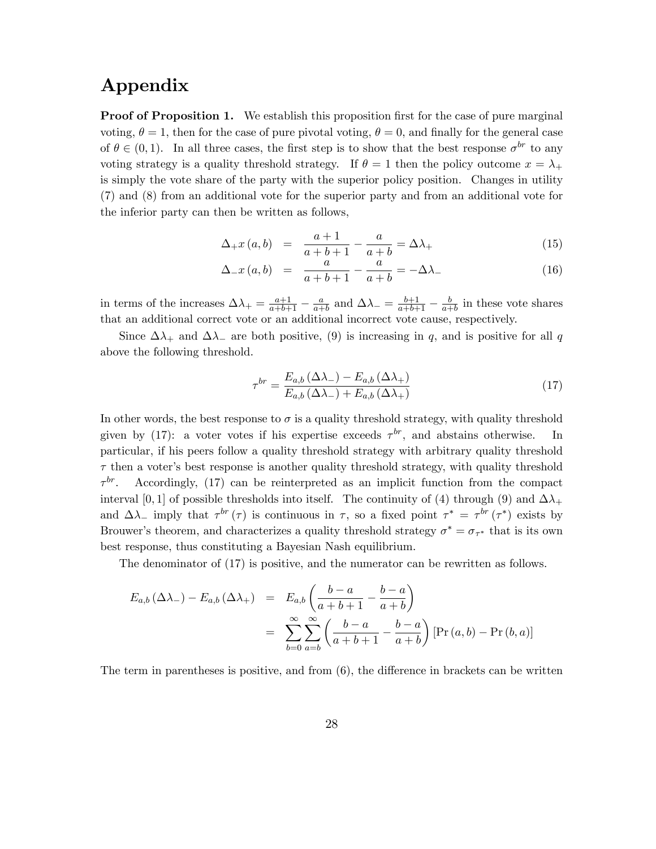### Appendix

**Proof of Proposition 1.** We establish this proposition first for the case of pure marginal voting,  $\theta = 1$ , then for the case of pure pivotal voting,  $\theta = 0$ , and finally for the general case of  $\theta \in (0, 1)$ . In all three cases, the first step is to show that the best response  $\sigma^{br}$  to any voting strategy is a quality threshold strategy. If  $\theta = 1$  then the policy outcome  $x = \lambda_+$ is simply the vote share of the party with the superior policy position. Changes in utility (7) and (8) from an additional vote for the superior party and from an additional vote for the inferior party can then be written as follows,

$$
\Delta_{+}x(a,b) = \frac{a+1}{a+b+1} - \frac{a}{a+b} = \Delta\lambda_{+}
$$
\n(15)

$$
\Delta_{-}x\left(a,b\right) = \frac{a}{a+b+1} - \frac{a}{a+b} = -\Delta\lambda_{-} \tag{16}
$$

in terms of the increases  $\Delta\lambda_+ = \frac{a+1}{a+b+1} - \frac{a}{a+1}$  $\frac{a}{a+b}$  and  $\Delta\lambda_-\equiv \frac{b+1}{a+b+1}-\frac{b}{a+1}$  $\frac{b}{a+b}$  in these vote shares that an additional correct vote or an additional incorrect vote cause, respectively.

Since  $\Delta\lambda_+$  and  $\Delta\lambda_-$  are both positive, (9) is increasing in q, and is positive for all q above the following threshold.

$$
\tau^{br} = \frac{E_{a,b} \left(\Delta \lambda_{-}\right) - E_{a,b} \left(\Delta \lambda_{+}\right)}{E_{a,b} \left(\Delta \lambda_{-}\right) + E_{a,b} \left(\Delta \lambda_{+}\right)}\tag{17}
$$

In other words, the best response to  $\sigma$  is a quality threshold strategy, with quality threshold given by (17): a voter votes if his expertise exceeds  $\tau^{br}$ , and abstains otherwise. In particular, if his peers follow a quality threshold strategy with arbitrary quality threshold  $\tau$  then a voter's best response is another quality threshold strategy, with quality threshold  $\tau^{br}$ . br. Accordingly, (17) can be reinterpreted as an implicit function from the compact interval [0, 1] of possible thresholds into itself. The continuity of (4) through (9) and  $\Delta\lambda_{+}$ and  $\Delta\lambda_{-}$  imply that  $\tau^{br}(\tau)$  is continuous in  $\tau$ , so a fixed point  $\tau^* = \tau^{br}(\tau^*)$  exists by Brouwer's theorem, and characterizes a quality threshold strategy  $\sigma^* = \sigma_{\tau^*}$  that is its own best response, thus constituting a Bayesian Nash equilibrium.

The denominator of (17) is positive, and the numerator can be rewritten as follows.

$$
E_{a,b}(\Delta\lambda_{-}) - E_{a,b}(\Delta\lambda_{+}) = E_{a,b}\left(\frac{b-a}{a+b+1} - \frac{b-a}{a+b}\right)
$$
  
= 
$$
\sum_{b=0}^{\infty} \sum_{a=b}^{\infty} \left(\frac{b-a}{a+b+1} - \frac{b-a}{a+b}\right) [\Pr(a,b) - \Pr(b,a)]
$$

The term in parentheses is positive, and from  $(6)$ , the difference in brackets can be written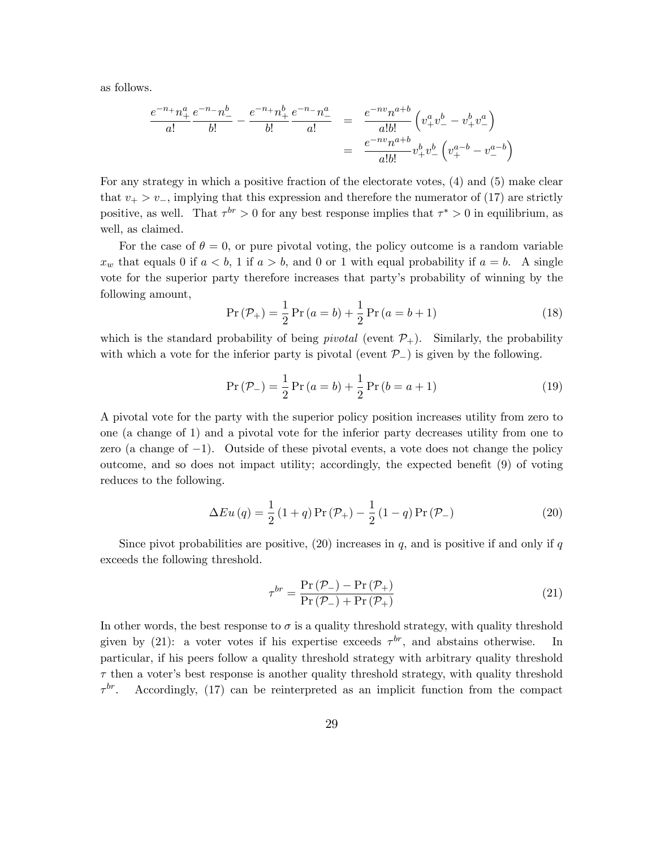as follows.

$$
\frac{e^{-n_+}n_+^a}{a!} \frac{e^{-n_-}n_-^b}{b!} - \frac{e^{-n_+}n_+^b}{b!} \frac{e^{-n_-}n_-^a}{a!} = \frac{e^{-nv}n^{a+b}}{a!b!} \left(v_+^a v_-^b - v_+^b v_-^a\right)
$$

$$
= \frac{e^{-nv}n^{a+b}}{a!b!}v_+^b v_-^b \left(v_+^{a-b} - v_-^{a-b}\right)
$$

For any strategy in which a positive fraction of the electorate votes, (4) and (5) make clear that  $v_+ > v_-$ , implying that this expression and therefore the numerator of (17) are strictly positive, as well. That  $\tau^{br} > 0$  for any best response implies that  $\tau^* > 0$  in equilibrium, as well, as claimed.

For the case of  $\theta = 0$ , or pure pivotal voting, the policy outcome is a random variable  $x_w$  that equals 0 if  $a < b$ , 1 if  $a > b$ , and 0 or 1 with equal probability if  $a = b$ . A single vote for the superior party therefore increases that partyís probability of winning by the following amount,

$$
Pr(\mathcal{P}_{+}) = \frac{1}{2} Pr(a = b) + \frac{1}{2} Pr(a = b + 1)
$$
\n(18)

which is the standard probability of being *pivotal* (event  $\mathcal{P}_+$ ). Similarly, the probability with which a vote for the inferior party is pivotal (event  $\mathcal{P}_{-}$ ) is given by the following.

$$
Pr(P_{-}) = \frac{1}{2} Pr(a = b) + \frac{1}{2} Pr(b = a + 1)
$$
\n(19)

A pivotal vote for the party with the superior policy position increases utility from zero to one (a change of 1) and a pivotal vote for the inferior party decreases utility from one to zero (a change of  $-1$ ). Outside of these pivotal events, a vote does not change the policy outcome, and so does not impact utility; accordingly, the expected benefit  $(9)$  of voting reduces to the following.

$$
\Delta Eu(q) = \frac{1}{2} (1+q) \Pr(\mathcal{P}_+) - \frac{1}{2} (1-q) \Pr(\mathcal{P}_-)
$$
\n(20)

Since pivot probabilities are positive,  $(20)$  increases in q, and is positive if and only if q exceeds the following threshold.

$$
\tau^{br} = \frac{\Pr\left(\mathcal{P}_{-}\right) - \Pr\left(\mathcal{P}_{+}\right)}{\Pr\left(\mathcal{P}_{-}\right) + \Pr\left(\mathcal{P}_{+}\right)}\tag{21}
$$

In other words, the best response to  $\sigma$  is a quality threshold strategy, with quality threshold given by (21): a voter votes if his expertise exceeds  $\tau^{br}$ , and abstains otherwise. In particular, if his peers follow a quality threshold strategy with arbitrary quality threshold  $\tau$  then a voter's best response is another quality threshold strategy, with quality threshold  $\tau^{br}$ . Accordingly, (17) can be reinterpreted as an implicit function from the compact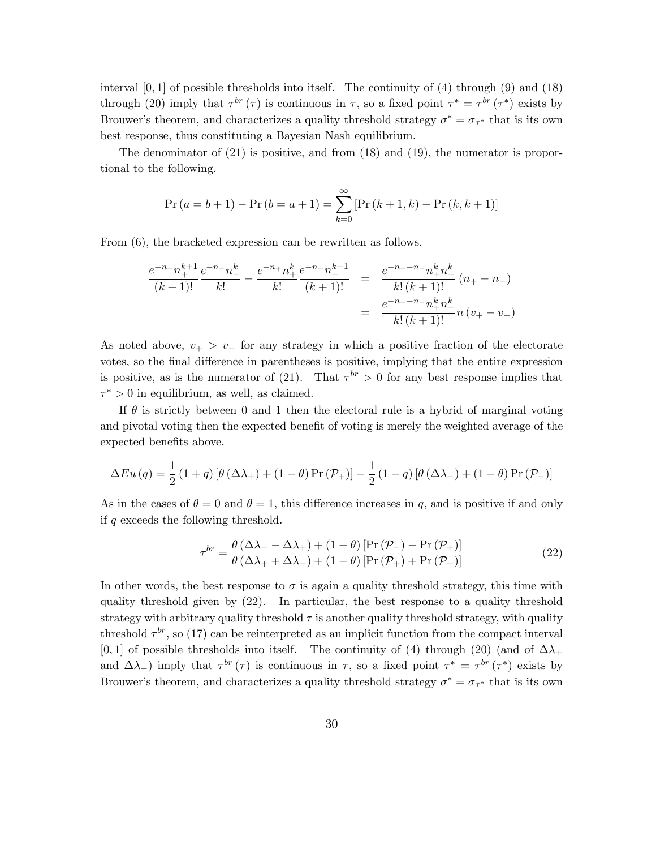interval  $[0,1]$  of possible thresholds into itself. The continuity of  $(4)$  through  $(9)$  and  $(18)$ through (20) imply that  $\tau^{br}(\tau)$  is continuous in  $\tau$ , so a fixed point  $\tau^* = \tau^{br}(\tau^*)$  exists by Brouwer's theorem, and characterizes a quality threshold strategy  $\sigma^* = \sigma_{\tau^*}$  that is its own best response, thus constituting a Bayesian Nash equilibrium.

The denominator of  $(21)$  is positive, and from  $(18)$  and  $(19)$ , the numerator is proportional to the following.

$$
\Pr(a = b + 1) - \Pr(b = a + 1) = \sum_{k=0}^{\infty} [\Pr(k+1, k) - \Pr(k, k+1)]
$$

From (6), the bracketed expression can be rewritten as follows.

$$
\frac{e^{-n}+n_{+}^{k+1}}{(k+1)!}\frac{e^{-n}-n_{-}^{k}}{k!} - \frac{e^{-n}+n_{+}^{k}}{k!}\frac{e^{-n}-n_{-}^{k+1}}{(k+1)!} = \frac{e^{-n}+n}_{k}(k+1)!}{k!(k+1)!}(n_{+}-n_{-})
$$

$$
= \frac{e^{-n}+n}_{k}(k+1)!}{k!(k+1)!}n(v_{+}-v_{-})
$$

As noted above,  $v_{+} > v_{-}$  for any strategy in which a positive fraction of the electorate votes, so the final difference in parentheses is positive, implying that the entire expression is positive, as is the numerator of (21). That  $\tau^{br} > 0$  for any best response implies that  $\tau^* > 0$  in equilibrium, as well, as claimed.

If  $\theta$  is strictly between 0 and 1 then the electoral rule is a hybrid of marginal voting and pivotal voting then the expected benefit of voting is merely the weighted average of the expected benefits above.

$$
\Delta Eu(q) = \frac{1}{2} (1+q) \left[ \theta (\Delta \lambda_+) + (1-\theta) \Pr(\mathcal{P}_+) \right] - \frac{1}{2} (1-q) \left[ \theta (\Delta \lambda_-) + (1-\theta) \Pr(\mathcal{P}_-) \right]
$$

As in the cases of  $\theta = 0$  and  $\theta = 1$ , this difference increases in q, and is positive if and only if q exceeds the following threshold.

$$
\tau^{br} = \frac{\theta \left( \Delta \lambda_{-} - \Delta \lambda_{+} \right) + (1 - \theta) \left[ \Pr \left( \mathcal{P}_{-} \right) - \Pr \left( \mathcal{P}_{+} \right) \right]}{\theta \left( \Delta \lambda_{+} + \Delta \lambda_{-} \right) + (1 - \theta) \left[ \Pr \left( \mathcal{P}_{+} \right) + \Pr \left( \mathcal{P}_{-} \right) \right]}
$$
\n(22)

In other words, the best response to  $\sigma$  is again a quality threshold strategy, this time with quality threshold given by (22). In particular, the best response to a quality threshold strategy with arbitrary quality threshold  $\tau$  is another quality threshold strategy, with quality threshold  $\tau^{br}$ , so (17) can be reinterpreted as an implicit function from the compact interval [0, 1] of possible thresholds into itself. The continuity of (4) through (20) (and of  $\Delta\lambda_+$ and  $\Delta\lambda$ ) imply that  $\tau^{br}(\tau)$  is continuous in  $\tau$ , so a fixed point  $\tau^* = \tau^{br}(\tau^*)$  exists by Brouwer's theorem, and characterizes a quality threshold strategy  $\sigma^* = \sigma_{\tau^*}$  that is its own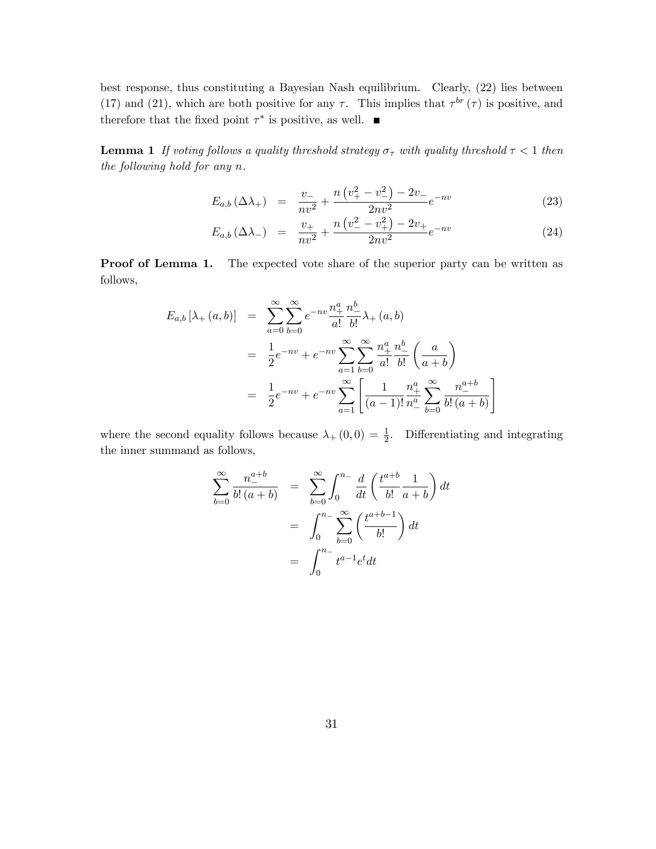best response, thus constituting a Bayesian Nash equilibrium. Clearly, (22) lies between (17) and (21), which are both positive for any  $\tau$ . This implies that  $\tau^{br}(\tau)$  is positive, and therefore that the fixed point  $\tau^*$  is positive, as well.

**Lemma 1** If voting follows a quality threshold strategy  $\sigma_{\tau}$  with quality threshold  $\tau < 1$  then the following hold for any n.

$$
E_{a,b}(\Delta\lambda_{+}) = \frac{v_{-}}{nv^{2}} + \frac{n(v_{+}^{2} - v_{-}^{2}) - 2v_{-}}{2nv^{2}}e^{-nv}
$$
\n(23)

$$
E_{a,b}(\Delta\lambda_{-}) = \frac{v_{+}}{nv^{2}} + \frac{n(v_{-}^{2} - v_{+}^{2}) - 2v_{+}}{2nv^{2}}e^{-nv}
$$
\n(24)

Proof of Lemma 1. The expected vote share of the superior party can be written as follows,

$$
E_{a,b} [\lambda_{+}(a,b)] = \sum_{a=0}^{\infty} \sum_{b=0}^{\infty} e^{-nv} \frac{n_{+}^{a}}{a!} \frac{n_{-}^{b}}{b!} \lambda_{+}(a,b)
$$
  

$$
= \frac{1}{2} e^{-nv} + e^{-nv} \sum_{a=1}^{\infty} \sum_{b=0}^{\infty} \frac{n_{+}^{a}}{a!} \frac{n_{-}^{b}}{b!} \left(\frac{a}{a+b}\right)
$$
  

$$
= \frac{1}{2} e^{-nv} + e^{-nv} \sum_{a=1}^{\infty} \left[ \frac{1}{(a-1)!} \frac{n_{+}^{a}}{n_{-}^{a}} \sum_{b=0}^{\infty} \frac{n_{-}^{a+b}}{b! (a+b)} \right]
$$

where the second equality follows because  $\lambda_+(0,0) = \frac{1}{2}$ . Differentiating and integrating the inner summand as follows,

$$
\sum_{b=0}^{\infty} \frac{n_{-}^{a+b}}{b! (a+b)} = \sum_{b=0}^{\infty} \int_{0}^{n_{-}} \frac{d}{dt} \left( \frac{t^{a+b}}{b!} \frac{1}{a+b} \right) dt
$$

$$
= \int_{0}^{n_{-}} \sum_{b=0}^{\infty} \left( \frac{t^{a+b-1}}{b!} \right) dt
$$

$$
= \int_{0}^{n_{-}} t^{a-1} e^{t} dt
$$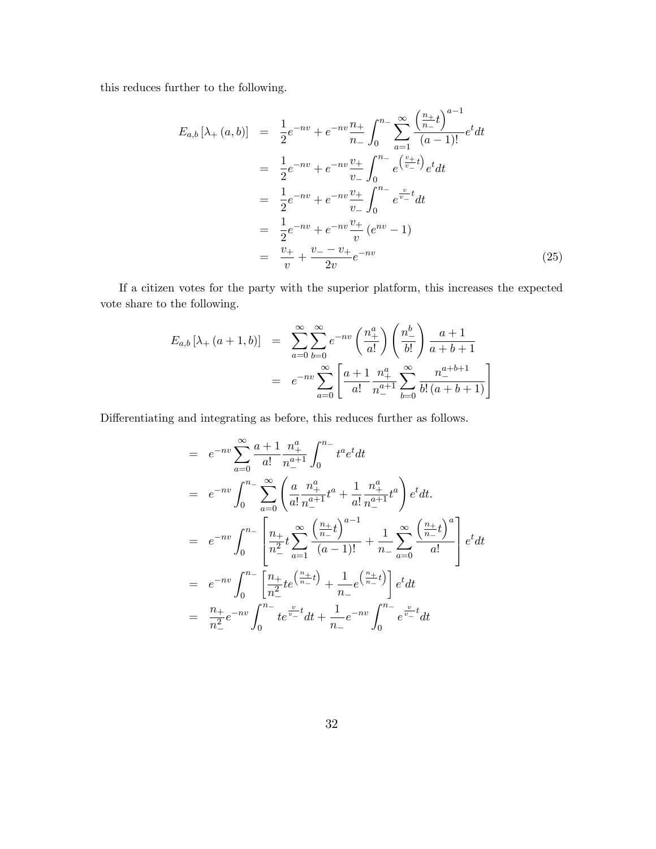this reduces further to the following.

$$
E_{a,b}[\lambda_{+}(a,b)] = \frac{1}{2}e^{-nv} + e^{-nv}\frac{n_{+}}{n_{-}}\int_{0}^{n_{-}}\sum_{a=1}^{\infty}\frac{\left(\frac{n_{+}}{n_{-}}t\right)^{a-1}}{(a-1)!}e^{t}dt
$$
  
\n
$$
= \frac{1}{2}e^{-nv} + e^{-nv}\frac{v_{+}}{v_{-}}\int_{0}^{n_{-}}e^{\left(\frac{v_{+}}{v_{-}}t\right)}e^{t}dt
$$
  
\n
$$
= \frac{1}{2}e^{-nv} + e^{-nv}\frac{v_{+}}{v_{-}}\int_{0}^{n_{-}}e^{\frac{v_{-}}{v_{-}}}dt
$$
  
\n
$$
= \frac{1}{2}e^{-nv} + e^{-nv}\frac{v_{+}}{v}(e^{nv} - 1)
$$
  
\n
$$
= \frac{v_{+}}{v} + \frac{v_{-} - v_{+}}{2v}e^{-nv}
$$
 (25)

If a citizen votes for the party with the superior platform, this increases the expected vote share to the following.

$$
E_{a,b} [\lambda_{+} (a+1,b)] = \sum_{a=0}^{\infty} \sum_{b=0}^{\infty} e^{-nv} \left(\frac{n_{+}^{a}}{a!}\right) \left(\frac{n_{-}^{b}}{b!}\right) \frac{a+1}{a+b+1}
$$
  
=  $e^{-nv} \sum_{a=0}^{\infty} \left[ \frac{a+1}{a!} \frac{n_{+}^{a}}{n_{-}^{a+1}} \sum_{b=0}^{\infty} \frac{n_{-}^{a+b+1}}{b! (a+b+1)} \right]$ 

Differentiating and integrating as before, this reduces further as follows.

$$
= e^{-nv} \sum_{a=0}^{\infty} \frac{a+1}{a!} \frac{n_+^a}{n_-^{a+1}} \int_0^{n_-} t^a e^t dt
$$
  
\n
$$
= e^{-nv} \int_0^{n_-} \sum_{a=0}^{\infty} \left( \frac{a}{a!} \frac{n_+^a}{n_-^{a+1}} t^a + \frac{1}{a!} \frac{n_+^a}{n_-^{a+1}} t^a \right) e^t dt.
$$
  
\n
$$
= e^{-nv} \int_0^{n_-} \left[ \frac{n_+}{n_-^2} t \sum_{a=1}^{\infty} \frac{\left(\frac{n_+}{n_-} t\right)^{a-1}}{(a-1)!} + \frac{1}{n_-} \sum_{a=0}^{\infty} \frac{\left(\frac{n_+}{n_-} t\right)^{a}}{a!} \right] e^t dt
$$
  
\n
$$
= e^{-nv} \int_0^{n_-} \left[ \frac{n_+}{n_-^2} t e^{\left(\frac{n_+}{n_-} t\right)} + \frac{1}{n_-} e^{\left(\frac{n_+}{n_-} t\right)} \right] e^t dt
$$
  
\n
$$
= \frac{n_+}{n_-^2} e^{-nv} \int_0^{n_-} t e^{\frac{v_-}{v_-} t} dt + \frac{1}{n_-} e^{-nv} \int_0^{n_-} e^{\frac{v_-}{v_-} t} dt
$$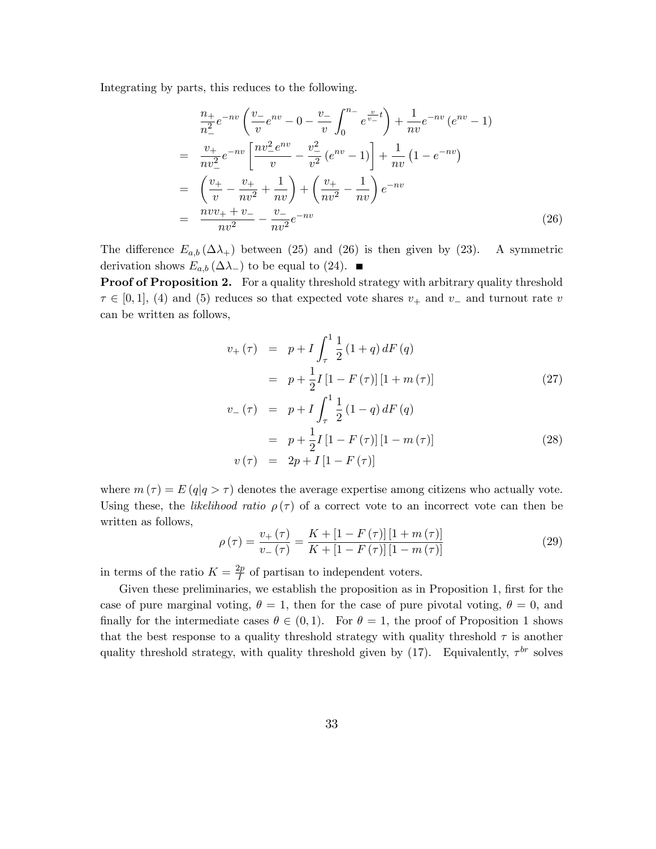Integrating by parts, this reduces to the following.

$$
\frac{n_{+}}{n_{-}^{2}}e^{-nv}\left(\frac{v_{-}}{v}e^{nv}-0-\frac{v_{-}}{v}\int_{0}^{n_{-}}e^{\frac{v}{v_{-}}}t\right)+\frac{1}{nv}e^{-nv}\left(e^{nv}-1\right)
$$
\n
$$
=\frac{v_{+}}{nv_{-}^{2}}e^{-nv}\left[\frac{nv_{-}^{2}e^{nv}}{v}-\frac{v_{-}^{2}}{v^{2}}\left(e^{nv}-1\right)\right]+\frac{1}{nv}\left(1-e^{-nv}\right)
$$
\n
$$
=\left(\frac{v_{+}}{v}-\frac{v_{+}}{nv^{2}}+\frac{1}{nv}\right)+\left(\frac{v_{+}}{nv^{2}}-\frac{1}{nv}\right)e^{-nv}
$$
\n
$$
=\frac{nvv_{+}+v_{-}}{nv^{2}}-\frac{v_{-}}{nv^{2}}e^{-nv}
$$
\n(26)

The difference  $E_{a,b}(\Delta\lambda_+)$  between (25) and (26) is then given by (23). A symmetric derivation shows  $E_{a,b}(\Delta \lambda)$  to be equal to (24).

Proof of Proposition 2. For a quality threshold strategy with arbitrary quality threshold  $\tau \in [0, 1]$ , (4) and (5) reduces so that expected vote shares  $v_+$  and  $v_-$  and turnout rate v can be written as follows,

$$
v_{+}(\tau) = p + I \int_{\tau}^{1} \frac{1}{2} (1+q) dF(q)
$$
  
=  $p + \frac{1}{2} I [1 - F(\tau)] [1 + m(\tau)]$  (27)

$$
v_{-}(\tau) = p + I \int_{\tau}^{1} \frac{1}{2} (1 - q) dF(q)
$$
  
=  $p + \frac{1}{2} I [1 - F(\tau)] [1 - m(\tau)]$   

$$
v(\tau) = 2p + I [1 - F(\tau)]
$$
 (28)

where  $m(\tau) = E(q|q > \tau)$  denotes the average expertise among citizens who actually vote. Using these, the likelihood ratio  $\rho(\tau)$  of a correct vote to an incorrect vote can then be written as follows,

$$
\rho(\tau) = \frac{v_{+}(\tau)}{v_{-}(\tau)} = \frac{K + [1 - F(\tau)][1 + m(\tau)]}{K + [1 - F(\tau)][1 - m(\tau)]}
$$
\n(29)

in terms of the ratio  $K = \frac{2p}{l}$  $\frac{2p}{I}$  of partisan to independent voters.

Given these preliminaries, we establish the proposition as in Proposition 1, first for the case of pure marginal voting,  $\theta = 1$ , then for the case of pure pivotal voting,  $\theta = 0$ , and finally for the intermediate cases  $\theta \in (0, 1)$ . For  $\theta = 1$ , the proof of Proposition 1 shows that the best response to a quality threshold strategy with quality threshold  $\tau$  is another quality threshold strategy, with quality threshold given by  $(17)$ . Equivalently,  $\tau^{br}$  solves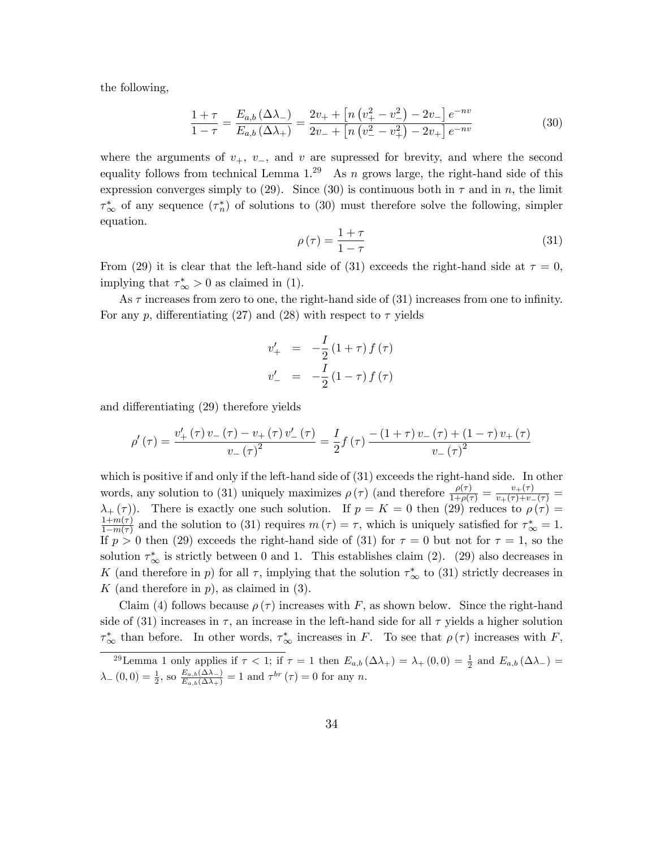the following,

$$
\frac{1+\tau}{1-\tau} = \frac{E_{a,b}(\Delta\lambda_{-})}{E_{a,b}(\Delta\lambda_{+})} = \frac{2v_{+} + \left[n\left(v_{+}^{2} - v_{-}^{2}\right) - 2v_{-}\right]e^{-nv}}{2v_{-} + \left[n\left(v_{-}^{2} - v_{+}^{2}\right) - 2v_{+}\right]e^{-nv}}\tag{30}
$$

where the arguments of  $v_+$ ,  $v_-$ , and v are supressed for brevity, and where the second equality follows from technical Lemma  $1.^{29}$  As n grows large, the right-hand side of this expression converges simply to (29). Since (30) is continuous both in  $\tau$  and in n, the limit  $\tau^*_{\infty}$  of any sequence  $(\tau_n^*)$  of solutions to (30) must therefore solve the following, simpler equation.

$$
\rho(\tau) = \frac{1+\tau}{1-\tau} \tag{31}
$$

From (29) it is clear that the left-hand side of (31) exceeds the right-hand side at  $\tau = 0$ , implying that  $\tau^*_{\infty} > 0$  as claimed in (1).

As  $\tau$  increases from zero to one, the right-hand side of (31) increases from one to infinity. For any p, differentiating (27) and (28) with respect to  $\tau$  yields

$$
v'_{+} = -\frac{I}{2}(1+\tau) f(\tau)
$$
  

$$
v'_{-} = -\frac{I}{2}(1-\tau) f(\tau)
$$

and differentiating (29) therefore yields

$$
\rho'(\tau) = \frac{v'_+(\tau) v_-(\tau) - v_+(\tau) v'_-(\tau)}{v_-(\tau)^2} = \frac{I}{2} f(\tau) \frac{-(1+\tau) v_-(\tau) + (1-\tau) v_+(\tau)}{v_-(\tau)^2}
$$

which is positive if and only if the left-hand side of (31) exceeds the right-hand side. In other words, any solution to (31) uniquely maximizes  $\rho(\tau)$  (and therefore  $\frac{\rho(\tau)}{1+\rho(\tau)} = \frac{v+(\tau)}{v+(\tau)+v-(\tau)} =$  $\lambda_{+}(\tau)$ ). There is exactly one such solution. If  $p = K = 0$  then (29) reduces to  $\rho(\tau) =$  $1+m(\tau)$  $\frac{1+m(\tau)}{1-m(\tau)}$  and the solution to (31) requires  $m(\tau) = \tau$ , which is uniquely satisfied for  $\tau^*_{\infty} = 1$ . If  $p > 0$  then (29) exceeds the right-hand side of (31) for  $\tau = 0$  but not for  $\tau = 1$ , so the solution  $\tau_{\infty}^{*}$  is strictly between 0 and 1. This establishes claim (2). (29) also decreases in K (and therefore in p) for all  $\tau$ , implying that the solution  $\tau^*_{\infty}$  to (31) strictly decreases in K (and therefore in  $p$ ), as claimed in  $(3)$ .

Claim (4) follows because  $\rho(\tau)$  increases with F, as shown below. Since the right-hand side of (31) increases in  $\tau$ , an increase in the left-hand side for all  $\tau$  yields a higher solution  $\tau^*_{\infty}$  than before. In other words,  $\tau^*_{\infty}$  increases in F. To see that  $\rho(\tau)$  increases with F,

<sup>&</sup>lt;sup>29</sup>Lemma 1 only applies if  $\tau < 1$ ; if  $\tau = 1$  then  $E_{a,b}(\Delta \lambda_+) = \lambda_+(0,0) = \frac{1}{2}$  and  $E_{a,b}(\Delta \lambda_-) =$  $\lambda_{-}(0,0) = \frac{1}{2}$ , so  $\frac{E_{a,b}(\Delta \lambda_{-})}{E_{a,b}(\Delta \lambda_{+})} = 1$  and  $\tau^{br}(\tau) = 0$  for any n.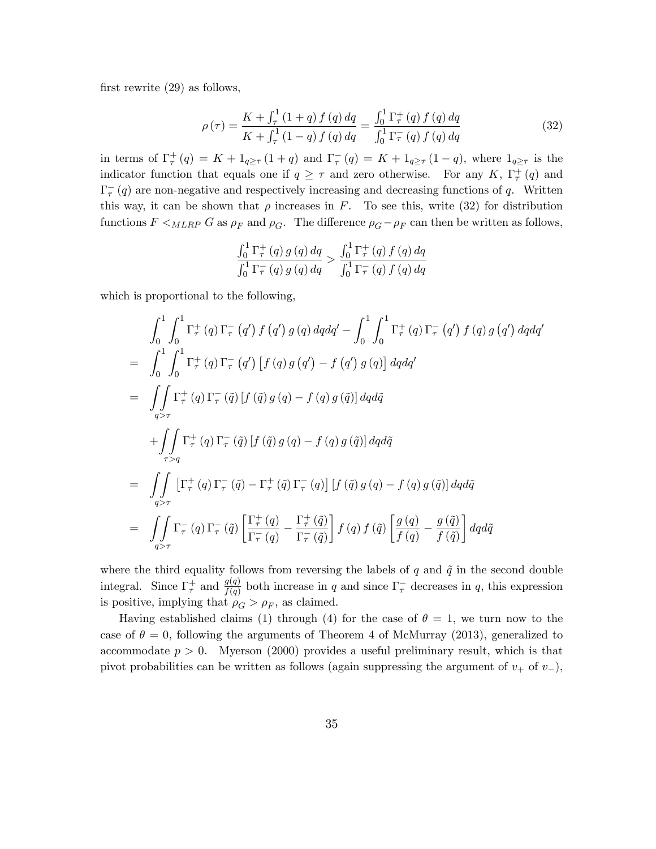first rewrite  $(29)$  as follows,

$$
\rho(\tau) = \frac{K + \int_{\tau}^{1} (1+q) f(q) dq}{K + \int_{\tau}^{1} (1-q) f(q) dq} = \frac{\int_{0}^{1} \Gamma_{\tau}^{+}(q) f(q) dq}{\int_{0}^{1} \Gamma_{\tau}^{-}(q) f(q) dq}
$$
(32)

in terms of  $\Gamma^+_\tau(q) = K + 1_{q \geq \tau}(1+q)$  and  $\Gamma^-_\tau(q) = K + 1_{q \geq \tau}(1-q)$ , where  $1_{q \geq \tau}$  is the indicator function that equals one if  $q \geq \tau$  and zero otherwise. For any K,  $\Gamma_{\tau}^{+}(q)$  and  $\Gamma_{\tau}^{-}(q)$  are non-negative and respectively increasing and decreasing functions of q. Written this way, it can be shown that  $\rho$  increases in F. To see this, write (32) for distribution functions  $F \leq_{MLRP} G$  as  $\rho_F$  and  $\rho_G$ . The difference  $\rho_G - \rho_F$  can then be written as follows,

$$
\frac{\int_0^1 \Gamma_{\tau}^+(q) g(q) dq}{\int_0^1 \Gamma_{\tau}^-(q) g(q) dq} > \frac{\int_0^1 \Gamma_{\tau}^+(q) f(q) dq}{\int_0^1 \Gamma_{\tau}^-(q) f(q) dq}
$$

which is proportional to the following,

$$
\int_{0}^{1} \int_{0}^{1} \Gamma_{\tau}^{+}(q) \Gamma_{\tau}^{-}(q') f(q') g(q) dq dq' - \int_{0}^{1} \int_{0}^{1} \Gamma_{\tau}^{+}(q) \Gamma_{\tau}^{-}(q') f(q) g(q') dq dq'
$$
\n
$$
= \int_{0}^{1} \int_{0}^{1} \Gamma_{\tau}^{+}(q) \Gamma_{\tau}^{-}(q') [f(q) g(q') - f(q') g(q)] dq dq'
$$
\n
$$
= \int_{q>\tau} \int_{q>\tau}^{1} \Gamma_{\tau}^{+}(q) \Gamma_{\tau}^{-}(\tilde{q}) [f(\tilde{q}) g(q) - f(q) g(\tilde{q})] dq d\tilde{q}
$$
\n
$$
+ \int_{\tau>q} \Gamma_{\tau}^{+}(q) \Gamma_{\tau}^{-}(\tilde{q}) [f(\tilde{q}) g(q) - f(q) g(\tilde{q})] dq d\tilde{q}
$$
\n
$$
= \int_{q>\tau} \int_{q>\tau} [\Gamma_{\tau}^{+}(q) \Gamma_{\tau}^{-}(\tilde{q}) - \Gamma_{\tau}^{+}(\tilde{q}) \Gamma_{\tau}^{-}(q)] [f(\tilde{q}) g(q) - f(q) g(\tilde{q})] dq d\tilde{q}
$$
\n
$$
= \int_{q>\tau} \int_{q>\tau} \Gamma_{\tau}^{-}(q) \Gamma_{\tau}^{-}(\tilde{q}) \left[ \frac{\Gamma_{\tau}^{+}(q)}{\Gamma_{\tau}^{-}(q)} - \frac{\Gamma_{\tau}^{+}(\tilde{q})}{\Gamma_{\tau}^{-}(\tilde{q})} \right] f(q) f(\tilde{q}) \left[ \frac{g(q)}{f(q)} - \frac{g(\tilde{q})}{f(\tilde{q})} \right] dq d\tilde{q}
$$

where the third equality follows from reversing the labels of q and  $\tilde{q}$  in the second double integral. Since  $\Gamma^+_\tau$  and  $\frac{g(q)}{f(q)}$  both increase in q and since  $\Gamma^-_\tau$  decreases in q, this expression is positive, implying that  $\rho_G > \rho_F$ , as claimed.

Having established claims (1) through (4) for the case of  $\theta = 1$ , we turn now to the case of  $\theta = 0$ , following the arguments of Theorem 4 of McMurray (2013), generalized to accommodate  $p > 0$ . Myerson (2000) provides a useful preliminary result, which is that pivot probabilities can be written as follows (again suppressing the argument of  $v_+$  of  $v_-$ ),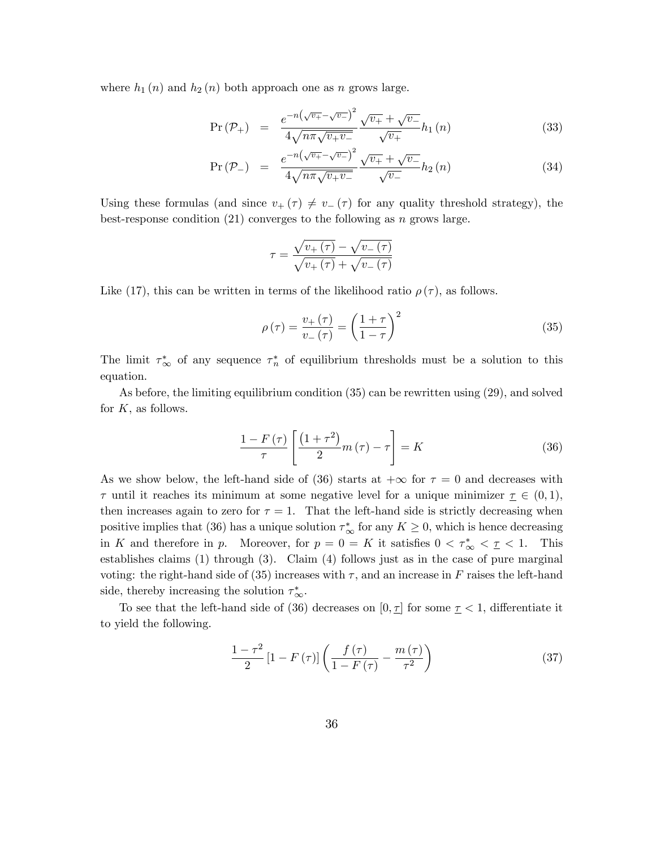where  $h_1(n)$  and  $h_2(n)$  both approach one as n grows large.

$$
Pr(\mathcal{P}_{+}) = \frac{e^{-n(\sqrt{v_{+}} - \sqrt{v_{-}})^{2}}}{4\sqrt{n\pi\sqrt{v_{+}v_{-}}}}\frac{\sqrt{v_{+}} + \sqrt{v_{-}}}{\sqrt{v_{+}}}h_{1}(n)
$$
\n(33)

$$
\Pr\left(\mathcal{P}_{-}\right) = \frac{e^{-n\left(\sqrt{v_{+}} - \sqrt{v_{-}}\right)^{2}}}{4\sqrt{n\pi\sqrt{v_{+}v_{-}}}}\frac{\sqrt{v_{+}} + \sqrt{v_{-}}}{\sqrt{v_{-}}}h_{2}\left(n\right)
$$
\n(34)

Using these formulas (and since  $v_+ (\tau) \neq v_- (\tau)$  for any quality threshold strategy), the best-response condition  $(21)$  converges to the following as n grows large.

$$
\tau = \frac{\sqrt{v_{+}(\tau)} - \sqrt{v_{-}(\tau)}}{\sqrt{v_{+}(\tau)} + \sqrt{v_{-}(\tau)}}
$$

Like (17), this can be written in terms of the likelihood ratio  $\rho(\tau)$ , as follows.

$$
\rho\left(\tau\right) = \frac{v_{+}\left(\tau\right)}{v_{-}\left(\tau\right)} = \left(\frac{1+\tau}{1-\tau}\right)^{2} \tag{35}
$$

The limit  $\tau^*_{\infty}$  of any sequence  $\tau^*_{n}$  of equilibrium thresholds must be a solution to this equation.

As before, the limiting equilibrium condition (35) can be rewritten using (29), and solved for  $K$ , as follows.

$$
\frac{1 - F(\tau)}{\tau} \left[ \frac{\left(1 + \tau^2\right)}{2} m(\tau) - \tau \right] = K \tag{36}
$$

As we show below, the left-hand side of (36) starts at  $+\infty$  for  $\tau = 0$  and decreases with  $\tau$  until it reaches its minimum at some negative level for a unique minimizer  $\tau \in (0, 1)$ , then increases again to zero for  $\tau = 1$ . That the left-hand side is strictly decreasing when positive implies that (36) has a unique solution  $\tau^*_{\infty}$  for any  $K \geq 0$ , which is hence decreasing in K and therefore in p. Moreover, for  $p = 0 = K$  it satisfies  $0 < \tau^*_{\infty} < \tau < 1$ . This establishes claims (1) through (3). Claim (4) follows just as in the case of pure marginal voting: the right-hand side of (35) increases with  $\tau$ , and an increase in F raises the left-hand side, thereby increasing the solution  $\tau_{\infty}^{*}$ .

To see that the left-hand side of (36) decreases on  $[0, \underline{\tau}]$  for some  $\underline{\tau} < 1$ , differentiate it to yield the following.

$$
\frac{1-\tau^2}{2}\left[1-F\left(\tau\right)\right]\left(\frac{f\left(\tau\right)}{1-F\left(\tau\right)}-\frac{m\left(\tau\right)}{\tau^2}\right) \tag{37}
$$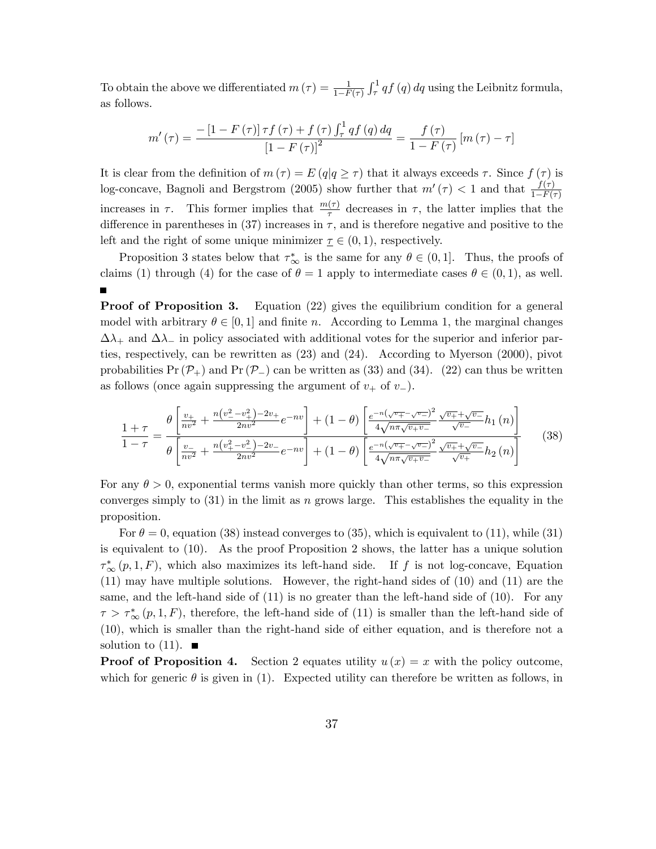To obtain the above we differentiated  $m(\tau) = \frac{1}{1 - F(\tau)}$  $\int_{\tau}^{1} q f(q) dq$  using the Leibnitz formula, as follows.

$$
m'\left(\tau\right) = \frac{-\left[1 - F\left(\tau\right)\right]\tau f\left(\tau\right) + f\left(\tau\right) \int_{\tau}^{1} q f\left(q\right) dq}{\left[1 - F\left(\tau\right)\right]^{2}} = \frac{f\left(\tau\right)}{1 - F\left(\tau\right)} \left[m\left(\tau\right) - \tau\right]
$$

It is clear from the definition of  $m(\tau) = E(q|q \geq \tau)$  that it always exceeds  $\tau$ . Since  $f(\tau)$  is log-concave, Bagnoli and Bergstrom (2005) show further that  $m'(\tau) < 1$  and that  $\frac{f(\tau)}{1 - F(\tau)}$ increases in  $\tau$ . This former implies that  $\frac{m(\tau)}{\tau}$  decreases in  $\tau$ , the latter implies that the difference in parentheses in (37) increases in  $\tau$ , and is therefore negative and positive to the left and the right of some unique minimizer  $\underline{\tau} \in (0,1)$ , respectively.

Proposition 3 states below that  $\tau^*_{\infty}$  is the same for any  $\theta \in (0, 1]$ . Thus, the proofs of claims (1) through (4) for the case of  $\theta = 1$  apply to intermediate cases  $\theta \in (0, 1)$ , as well.

**Proof of Proposition 3.** Equation (22) gives the equilibrium condition for a general model with arbitrary  $\theta \in [0, 1]$  and finite n. According to Lemma 1, the marginal changes  $\Delta\lambda_+$  and  $\Delta\lambda_-$  in policy associated with additional votes for the superior and inferior parties, respectively, can be rewritten as (23) and (24). According to Myerson (2000), pivot probabilities  $Pr(\mathcal{P}_+)$  and  $Pr(\mathcal{P}_-)$  can be written as (33) and (34). (22) can thus be written as follows (once again suppressing the argument of  $v_+$  of  $v_-$ ).

$$
\frac{1+\tau}{1-\tau} = \frac{\theta \left[ \frac{v_+}{nv^2} + \frac{n(v_-^2 - v_+^2) - 2v_+}{2nv^2} e^{-nv} \right] + (1-\theta) \left[ \frac{e^{-n(\sqrt{v_+} - \sqrt{v_-})^2}}{4\sqrt{n\pi\sqrt{v_+ v_-}}} \frac{\sqrt{v_+} + \sqrt{v_-}}{\sqrt{v_-}} h_1(n) \right]}{\theta \left[ \frac{v_-}{nv^2} + \frac{n(v_+^2 - v_-^2) - 2v_-}{2nv^2} e^{-nv} \right] + (1-\theta) \left[ \frac{e^{-n(\sqrt{v_+} - \sqrt{v_-})^2}}{4\sqrt{n\pi\sqrt{v_+ v_-}}} \frac{\sqrt{v_+} + \sqrt{v_-}}{\sqrt{v_+}} h_2(n) \right]}
$$
(38)

For any  $\theta > 0$ , exponential terms vanish more quickly than other terms, so this expression converges simply to  $(31)$  in the limit as n grows large. This establishes the equality in the proposition.

For  $\theta = 0$ , equation (38) instead converges to (35), which is equivalent to (11), while (31) is equivalent to (10). As the proof Proposition 2 shows, the latter has a unique solution  $\tau^*_{\infty}(p, 1, F)$ , which also maximizes its left-hand side. If f is not log-concave, Equation (11) may have multiple solutions. However, the right-hand sides of (10) and (11) are the same, and the left-hand side of  $(11)$  is no greater than the left-hand side of  $(10)$ . For any  $\tau > \tau^*_{\infty}(p, 1, F)$ , therefore, the left-hand side of (11) is smaller than the left-hand side of (10), which is smaller than the right-hand side of either equation, and is therefore not a solution to  $(11)$ .

**Proof of Proposition 4.** Section 2 equates utility  $u(x) = x$  with the policy outcome, which for generic  $\theta$  is given in (1). Expected utility can therefore be written as follows, in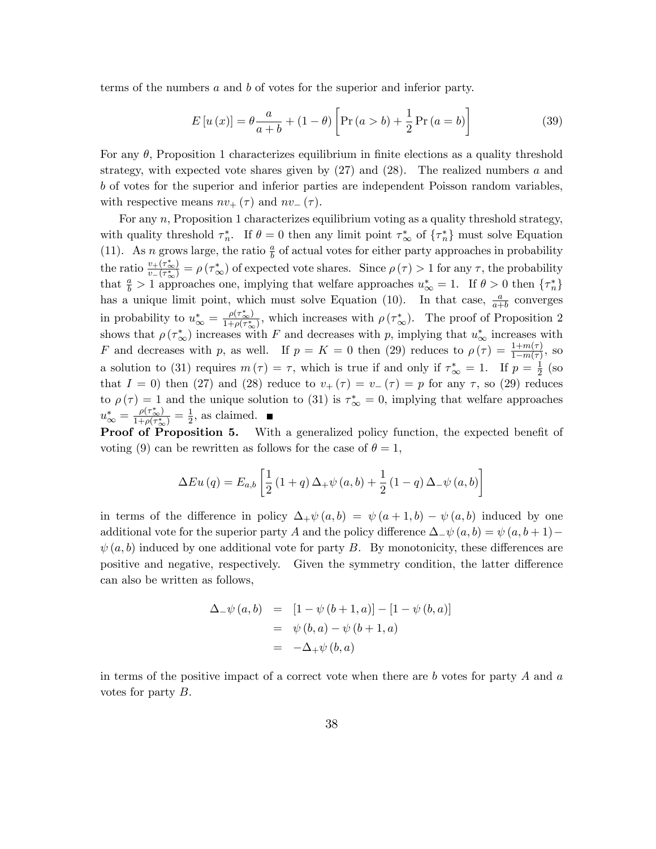terms of the numbers a and b of votes for the superior and inferior party.

$$
E[u(x)] = \theta \frac{a}{a+b} + (1 - \theta) \left[ Pr(a > b) + \frac{1}{2} Pr(a = b) \right]
$$
 (39)

For any  $\theta$ , Proposition 1 characterizes equilibrium in finite elections as a quality threshold strategy, with expected vote shares given by  $(27)$  and  $(28)$ . The realized numbers a and b of votes for the superior and inferior parties are independent Poisson random variables, with respective means  $nv_{+}(\tau)$  and  $nv_{-}(\tau)$ .

For any n, Proposition 1 characterizes equilibrium voting as a quality threshold strategy, with quality threshold  $\tau_n^*$ . If  $\theta = 0$  then any limit point  $\tau_\infty^*$  of  $\{\tau_n^*\}$  must solve Equation (11). As *n* grows large, the ratio  $\frac{a}{b}$  of actual votes for either party approaches in probability the ratio  $\frac{v_+(\tau^*)}{v_+(\tau^*)}$  $v_{\perp}(\tau_{\infty}^{*}) = \rho(\tau_{\infty}^{*})$  of expected vote shares. Since  $\rho(\tau) > 1$  for any  $\tau$ , the probability that  $\frac{a}{b} > 1$  approaches one, implying that welfare approaches  $u_{\infty}^* = 1$ . If  $\theta > 0$  then  $\{\tau_n^*\}$ has a unique limit point, which must solve Equation (10). In that case,  $\frac{a}{a+b}$  converges in probability to  $u_{\infty}^* = \frac{\rho(\tau_{\infty}^*)}{1 + \rho(\tau_{\infty}^*)}$ , which increases with  $\rho(\tau_{\infty}^*)$ . The proof of Proposition 2 shows that  $\rho(\tau^*_{\infty})$  increases with F and decreases with p, implying that  $u^*_{\infty}$  increases with F and decreases with p, as well. If  $p = K = 0$  then (29) reduces to  $\rho(\tau) = \frac{1+m(\tau)}{1-m(\tau)}$ , so a solution to (31) requires  $m(\tau) = \tau$ , which is true if and only if  $\tau^*_{\infty} = 1$ . If  $p = \frac{1}{2}$  $rac{1}{2}$  (so that  $I = 0$ ) then (27) and (28) reduce to  $v_{+}(\tau) = v_{-}(\tau) = p$  for any  $\tau$ , so (29) reduces to  $\rho(\tau) = 1$  and the unique solution to (31) is  $\tau^*_{\infty} = 0$ , implying that welfare approaches  $u_{\infty}^{*} = \frac{\rho(\tau_{\infty}^{*})}{1+\rho(\tau_{\infty}^{*})} = \frac{1}{2}$  $\frac{1}{2}$ , as claimed.

**Proof of Proposition 5.** With a generalized policy function, the expected benefit of voting (9) can be rewritten as follows for the case of  $\theta = 1$ ,

$$
\Delta Eu(q) = E_{a,b} \left[ \frac{1}{2} \left( 1 + q \right) \Delta_+ \psi(a,b) + \frac{1}{2} \left( 1 - q \right) \Delta_- \psi(a,b) \right]
$$

in terms of the difference in policy  $\Delta_+\psi(a, b) = \psi(a+1, b) - \psi(a, b)$  induced by one additional vote for the superior party A and the policy difference  $\Delta_{-\psi}(a, b) = \psi(a, b + 1) \psi(a, b)$  induced by one additional vote for party B. By monotonicity, these differences are positive and negative, respectively. Given the symmetry condition, the latter difference can also be written as follows,

$$
\Delta_{-}\psi(a,b) = [1 - \psi(b+1,a)] - [1 - \psi(b,a)]
$$
  
=  $\psi(b,a) - \psi(b+1,a)$   
=  $-\Delta_{+}\psi(b,a)$ 

in terms of the positive impact of a correct vote when there are  $b$  votes for party  $A$  and  $a$ votes for party B.